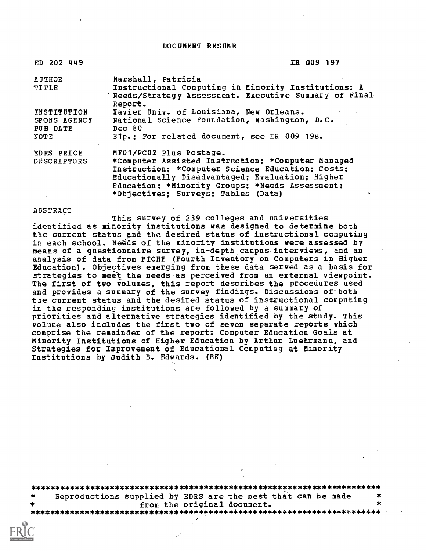DOCUMENT RESUME

| ED 202 449                              | IR 009 197                                                                                                                                                                                                  |
|-----------------------------------------|-------------------------------------------------------------------------------------------------------------------------------------------------------------------------------------------------------------|
| AUTHOR                                  | Marshall, Patricia                                                                                                                                                                                          |
| TITLE                                   | Instructional Computing in Minority Institutions: A<br>Needs/Strategy Assessment. Executive Summary of Final<br>Report.                                                                                     |
| INSTITUTION<br>SPONS AGENCY<br>PUB DATE | Xavier Univ. of Louisiana, New Orleans.<br><b>The Contract</b><br>National Science Foundation, Washington, D.C.<br>Dec 80                                                                                   |
| NOTE                                    | 31p.: For related document, see IR 009 198.                                                                                                                                                                 |
| EDRS PRICE                              | MF01/PC02 Plus Postage.                                                                                                                                                                                     |
| <b>DESCRIPTORS</b>                      | *Computer Assisted Instruction; *Computer Managed<br>Instruction: *Computer Science Education: Costs:<br>Educationally Disadvantaged; Evaluation; Higher<br>Education; *Minority Groups; *Needs Assessment; |
|                                         | *Objectives: Surveys; Tables (Data)                                                                                                                                                                         |

#### ABSTRACT

This survey of 239 colleges and universities identified as minority institutions was designed to determine both the current status amd the desired status of instructional computing in each school. Needs of the minority institutions were assessed by means of a questionnaire survey, in-depth campus interviews, and an analysis of data from FICHE (Fourth Inventory on Computers in Higher Education). Objectives emerging from these data served as a basis for strategies to meet the needs as perceived from an external viewpoint. The first of two volumes, this report describes the procedures used and provides a summary of the survey findings. Discussions of-both the current status and the desired status of instructional computing in the responding institutions are followed by a summary of priorities and alternative strategies identified by the study. This volume also includes the first two of seven separate reports which comprise the remainder of the report: Computer Education Goals at Minority Institutions of Higher Education by Arthur Luehrmann, and Strategies for Improvement of Educational Computing at Minority Institutions by Judith B. Edwards. (BR)

\*\*\*\*\*\*\*\*\*\*\*\*\*\*\*\*\*\*\*\*\*\*\*\*\*\*\*\*\*\*\*\*\*\*\*\*\*\*\*\*\*\*\*\*\*\*\*\*\*\*\*\*\*\*\*\*\*\*\*\*\*\*\*\*\*\*\*\*\*\*\* Reproductions supplied by EDRS are the best that can be made  $*$ <br>from the original document. from the original document. \*\*\*\*\*\*\*\*\*\*\*\*\*\*\*\*\*\*\*\*\*\*\*\*\*\*\*\*\*\*\*\*\*\*\*\*\*\*\*\*\*\*\*\*\*\*\*\*\*\*\*\*\*\*\*\*\*\*\*\*\*\*\*\*\*\*\*\*\*\*\*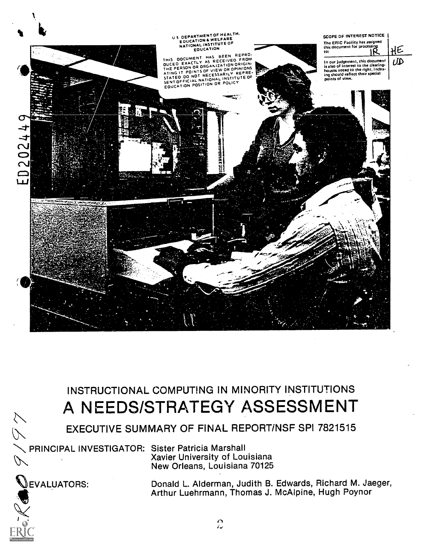

INSTRUCTIONAL COMPUTING IN MINORITY INSTITUTIONS A NEEDS/STRATEGY ASSESSMENT

EXECUTIVE SUMMARY OF FINAL REPORT/NSF SPI 7821515

PRINCIPAL INVESTIGATOR: Sister Patricia Marshall<br>Xavier University of Lou<br>New Orleans, Louisiana Xavier University of Louisiana New Orleans, Louisiana 70125

**SEVALUATORS:** 

57

Donald L. Alderman, Judith B. Edwards, Richard M. Jaeger, Arthur Luehrmann, Thomas J. McAlpine, Hugh Poynor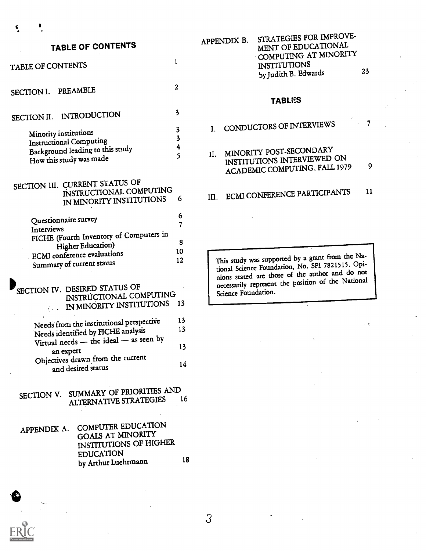| <b>TABLE OF CONTENTS</b>                                                                                               |             |
|------------------------------------------------------------------------------------------------------------------------|-------------|
| TABLE OF CONTENTS                                                                                                      |             |
| SECTION I. PREAMBLE                                                                                                    |             |
| SECTION II. INTRODUCTION                                                                                               | 3           |
| Minority institutions<br><b>Instructional Computing</b><br>Background leading to this study<br>How this study was made | 3<br>3<br>4 |

SECTION III. CURRENT STATUS OF INSTRUCTIONAL COMPUTING IN MINORITY INSTITUTIONS

| Questionnaire survey                                  |    |  |
|-------------------------------------------------------|----|--|
|                                                       |    |  |
| Interviews<br>FICHE (Fourth Inventory of Computers in |    |  |
| <b>Higher Education</b> )                             |    |  |
| <b>ECMI</b> conference evaluations                    | 10 |  |
|                                                       | 12 |  |
| Summary of current status                             |    |  |

| SECTION IV. DESIRED STATUS OF<br>INSTRUCTIONAL COMPUTING<br><b>IN MINORITY INSTITUTIONS 13</b> |    | nec<br>Sci |  |  |
|------------------------------------------------------------------------------------------------|----|------------|--|--|
| Needs from the institutional perspective                                                       | 13 |            |  |  |
| 13<br>Needs identified by FICHE analysis<br>Virtual needs - the ideal - as seen by             |    |            |  |  |
|                                                                                                |    |            |  |  |

an expert Objectives drawn from the current and desired status 14

SECTION V. SUMMARY OF PRIORITIES AND ALTERNATIVE STRATEGIES

APPENDIX A. COMPUTER EDUCATION GOALS AT MINORITY INSTITUTIONS OF HIGHER EDUCATION by Arthur Luchrmann 18 APPENDIX B. STRATEGIES FOR IMPROVE-MENT OF EDUCATIONAL COMPUTING AT MINORITY INSTITUTIONS by Judith B. Edwards 23

2

 $\sim$  5  $\sim$  5  $\sim$ 

## **TABLES**

- I. CONDUCTORS OF INTERVIEWS 7
- II. MINORITY POST-SECONDARY INSTITUTIONS INTERVIEWED ON ACADEMIC COMPUTING, FALL 1979
- III. ECMI CONFERENCE PARTICIPANTS 11

This study was supported by a grant from the National Science Foundation, No. SPI 7821515. Opinions stated are those of the author and do not necessarily represent the position of the National Science Foundation.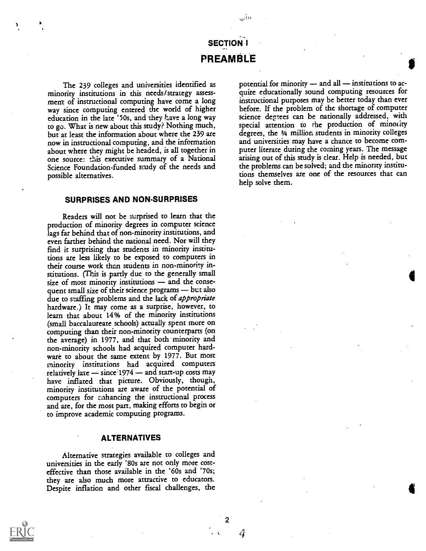# SECTION I PREAMBLE

 $a^2$ 

The 239 colleges and universities identified as minority institutions in this needs/strategy assessment of instructional computing have come a long way since computing entered the world of higher education in the late '50s, and they have a long way to go. What is new about this study? Nothing much, but at least the information about where the 239 are now in instructional computing, and the information about where they might be headed, is all together in one source: this executive summary of a National Science Foundation-funded study of the needs and possible alternatives.

#### SURPRISES AND NON-SURPRISES

Readers will not be surprised to learn that the production of minority degrees in computer science lags far behind that of non-minority institutions, and even farther behind the national need. Nor will they find it surprising that students in minority institutions are less likely to be exposed to computers in their course work than students in non-minority institutions. (This is partly due to the generally small size of most minority institutions  $-$  and the consequent small size of their science programs - but also due to staffing problems and the lack of *appropriate* hardware.) It may come as a surprise, however, to learn that about 14% of the minority institutions (small baccalaureate schools) actually spent more on computing than their non-minority counterparts (on the average) in 1977, and that both minority and non-minority schools had acquired computer hardware to about the same extent by 1977. But most minority institutions had acquired computers relatively late  $-$  since<sup>-1974</sup>  $-$  and start-up costs may have inflated that picture. Obviously, though, minority institutions are aware of the potential of computers for enhancing the instructional process and are, for the most part, making efforts to begin or to improve academic computing programs.

### ALTERNATIVES

Alternative strategies available to colleges and universities in the early '80s are not only more costeffective than those available in the '60s and '70s; they are also much more attractive to educators. Despite inflation and other fiscal challenges, the potential for minority  $-$  and all  $-$  institutions to acquire educationally sound computing resources for instructional purposes may be better today than ever before. If the problem of the shortage of computer science degrees can be nationally addressed, with special attention to the production of minority degrees, the 3/4 million students in minority colleges and universities may have a chance to become computer literate during the corning years. The message arising out of this study is clear. Help is needed, but the problems can be solved; and the minority institutions themselves are one of the resources that can help solve them.



2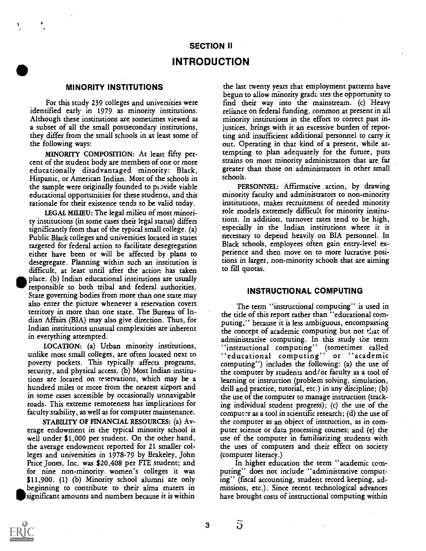# SECTION II INTRODUCTION

### MINORITY INSTITUTIONS

For this study 239 colleges and universities were identified early in 1979 as minority institutions. Although these institutions are sometimes viewed as a subset of all the small postsecondary institutions, they differ from the small schools in at least some of the following ways:

MINORITY COMPOSITION: At least fifty percent of the student body are members of one or more educationally disadvantaged minority: Black, Hispanic, or American Indian. Most of the schools in the sample were originally founded to pipvide viable educational opportunities for these students, and this rationale for their existence tends to be valid today.

LEGAL MILIEU: The legal milieu of most minority institutions (in some cases their legal status) differs significantly from that of the typical small college. (a) Public Black colleges and universities located in states targeted for federal action to facilitate desegregation either have been or will be affected by plans to desegregate. Planning within such an institution is difficult, at least until after the action has taken place. (b) Indian educational institutions are usually responsible to both tribal and federal authorities. place. (b) Indian educational institutions are usually State governing bodies from more than one state may also enter the picture whenever a reservation covers territory in more than one state. The Bureau of Indian Affairs (BIA) may also give direction. Thus, for Indian institutions unusual complexities are inherent in everything attempted.

LOCATION: (a) Urban minority institutions, unlike most small colleges, are often located next to poverty pockets. This typically affects programs, security, and physical access. (b) Most Indian institutions are located on reservations, which may be a hundred miles or mere from the nearest airport and in some cases accessible by occasionally unnavigable roads. This extreme remoteness has implications for faculty stability, as well as for computer maintenance.

STABILITY OF FINANCIAL RESOURCES: (a) Average endowment in the typical minority school is well under \$1,000 per student. On the other hand, the average endowment reported for 21 smaller colleges and universities in 1978-79 by Brakeley, John Price Jones, Inc. was \$20,408 per FTE student; and for nine non-minority, women's colleges it was \$11,900. (1) (b) Minority school alumni are only beginning to contribute to their alma maters in significant amounts and numbers because it is within

the last twenty years that employment patterns have begun to allow minority graduates the opportunity to find their way into the mainstream. (c) Heavy reliance on federal funding, common at present in all minority institutions in the effort to correct past injustices, brings with it an excessive burden of reporting and insufficient additional personnel to carry it out. Operating in that kind of a present, while attempting to plan adequately for the future, puts strains on most minority administrators that are far greater than those on administrators in other small schools.

PERSONNEL: Affirmative action, by drawing minority faculty and administrators to non-minority institutions, makes recruitment of needed minority role models extremely difficult for minority institutions. In addition, turnover rates tend to be high, especially in the Indian institutions where it is necessary to depend heavily on BIA personnel. In Black schools, employees often gain entry-level experience and then move on to more lucrative positions in larger, non-minority schools that are aiming to fill quotas.

#### INSTRUCTIONAL COMPUTING

The term "instructional computing" is used in the title of this report rather than "educational computing," because it is less ambiguous, encompassing the concept of academic computing but not that of administrative computing. In this study the term "instructional computing" (sometimes called "educational computing" or 'academic computing") includes the following: (a) the use of the computer by students and/or faculty as a tool of learning or instruction (problem solving, simulation, drill and practice, tutorial, etc.) in any discipline; (b) the use of the computer to manage instruction (tracking individual student progress); (c) the use of the computer as a tool in scientific research; (d) the use of the computer as an object of instruction, as in computer science or data processing courses; and (e) the use of the computer in familiarizing students with the uses of computers and their effect on society (computer literacy.)

In higher education the term "academic computing" does not include "administrative computing" (fiscal accounting, student record keeping, admissions, etc.). Since recent technological advances have brought costs of instructional computing within



3  $\tilde{5}$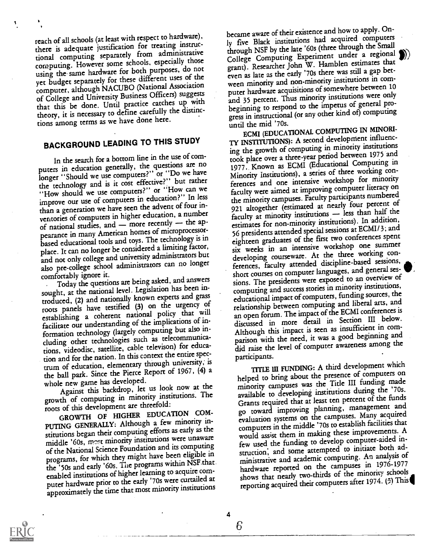reach of all schools (at least with respect to hardware), there is adequate justification for treating instructional computing separately from administrative computing. However some schools, especially those using the same hardware for both purposes, do not yet budget separately for these different uses of the computer, although NACUBO (National Association of College and University Business Officers) suggests that this be done. Until practice catches up with theory, it is necessary to define carefully the distinctions among terms as we have done here.

# BACKGROUND LEADING TO THIS STUDY

In the search for a bottom line in the use of computers in education generally, the questions are no longer "Should we use computers?" or "Do we have the technology and is it cost effective?" but rather "How should we use computers?" or "How can we improve our use of computers in education?" In less than a generation we have seen the advent of four inventories of computers in higher education, a number of national studies, and  $-$  more recently  $-$  the appearance in many American homes of microprocessorbased educational tools and toys. The technology is in place. It can no longer be considered a limiting factor, and not only college and university administrators but also pre-college school administrators can no longer comfortably ignore it.

Today the questions are being asked, and answers sought, at the national level. Legislation has been introduced, (2) and nationally known experts and grass roots panels have testified (3) on the urgency of establishing a coherent national policy that will facilitate our understanding of the implications of information technology (largely computing but also including other technologies such as telecommunications, videodisc, satellite, cable televison) for education and for the nation. In this context the entire spectrum of education, elementary through university; is the ball park. Since the Pierce Report of 1967, (4) a whole new game has developed.

Against this backdrop, let us look now at the growth of computing in minority institutions. The roots of this development are threefold:

GROWTH OF HIGHER EDUCATION COM-PUTING GENERALLY: Although a few minority institutions began their computing efforts as early as the middle '60s, mest minority institutions were unaware of the National Science Foundation and its computing programs, for which they might have been eligible in the '50s and early '60s. The programs within NSF that enabled institutions of higher learning to acquire computer hardware prior to the early '70s were curtailed at approximately the time that most minority institutions

became aware of their existence and how to apply. Only five Black institutions had acquired computers through NSF by the late '60s (three through the Small Though N51 by the according Experiment under a regional (a) grant). Researcher John W. Hamblen estimates that even as late as the early '70s there was still a gap between minority and non-minority institutions in computer hardware acquisitions of somewhere between 10 and 35 percent. Thus minority institutions were only beginning to respond to the impetus of general progress in instructional (or any other kind of) computing until the mid '70s.

ECMI (EDUCATIONAL COMPUTING IN MINORI-TY INSTITUTIONS): A second development influencing the growth of computing in minority institutions took place over a three-year period between 1975 and 1977.. Known as ECMI (Educational Computing in Minority Institutions), a series of three working conferences and one intensive workshop for minority faculty were aimed at improving computer literacy on the minority campuses. Faculty participants numbered 921 altogether (estimated at nearly four percent of faculty at minority institutions - less than half the estimates for non-minority institutions). In addition, 56 presidents attended special sessions at ECMI/3; and eighteen graduates of the first two conferences spent six weeks in an intensive workshop one summer developing courseware. At the three working conferences, faculty attended discipline-based sessions, short courses on computer languages, and general sesjka<br>jednotni politički politički politički politički politički politički politički politički politički politič<br>je politički politički politički politički politički politički politički politički politički politički politič sions. The presidents were exposed to an overview of computing and success stories in minority institutions, educational impact of computers, funding sources, the relationship between computing and liberal arts, and an open forum. The impact of the ECMI conferences is discussed in more detail in Section III below. Although this impact is seen as insufficient in comparison with the need, it was a good beginning and did raise the level of computer awareness among the participants.

,

TITLE III FUNDING: A third development which helped to bring about the presence of computers on minority campuses was the Title HI funding made available to developing institutions during the '70s. Grants required that at least ten percent of the funds go toward improving planning, management and evaluation systems on the campuses. Many acquired computers in the middle '70s to establish facilities that would assist them in making these improvements. <sup>A</sup> few used the funding to develop computer-aided instruction, and some attempted to initiate both administrative and academic computing. An analysis of hardware reported on the campuses in 1976-1977 shows that nearly two-thirds of the minority schools reporting acquired their computers after 1974. (5) This



4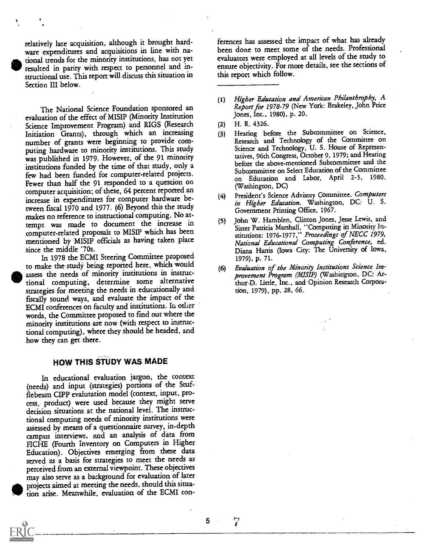relatively late acquisition, although it brought hardware expenditures and acquisitions in line with national trends for the minority institutions, has not yet resulted in parity with respect to personnel and instructional use. This report will discuss this situation in Section III below.

T.

The National Science Foundation sponsored an evaluation of the effect of MISIP (Minority Institution Science Improvement Program) and RIGS (Research Initiation Grants), through which an increasing (3) number of grants were beginning to provide computing hardware to minority institutions. This study was published in 1979. However, of the 91 minority institutions funded by the time of that study, only a few had been funded for computer-related projects. Fewer than half the 91 responded to a question on computer acquisition; of these,  $64$  percent reported an  $(4)$ increase in expenditures for computer hardware between fiscal 1970 and 1977. (6) Beyond this the study makes no reference to instructional computing. No attempt was made to document the increase in (5) computer-related proposals to MISIP which has been mentioned by MISIP officials as having taken place since the middle '70s.

In 1978 the ECMI Steering Committee proposed to make the study being reported here, which would assess the needs of minority institutions in instructional computing, determine some alternative strategies for meeting the needs in educationally and fiscally sound ways, and evaluate the impact of the ECMI conferences on faculty and institutions. In other words, the Committee proposed to find out where the minority institutions are now (with respect to instructional computing), where they should be headed, and how they can get there.

### HOW THIS STUDY WAS MADE

In educational evaluation jargon, the context (needs) and input (strategies) portions of the Stufflcbeam CIPP evalutation model (context, input, process, product) were used because they might serve decision situations at the national level. The instructional computing needs of minority institutions were assessed by means of a questionnaire survey, in-depth campus interviews, and an analysis of data from FICHE (Fourth inventory on Computers in Higher Education). Objectives emerging from these data served as a basis for strategies to meet the needs as perceived from an external viewpoint. These objectives may also serve as a background for evaluation of later projects aimed at meeting the needs, should this situation arise. Meanwhile, evaluation of the ECMI conferences has assessed the impact of what has already been done to meet some of the needs. Professional evaluators were employed at all levels of the study to ensure objectivity. For more details, see the sections of this report which follow.

- Higher Education and American Philanthrophy, A  $(1)$ Report for 1978-79 (New York: Brakeley, John Price Jones, Inc., 1980), p. 20.
- H. R. 4326.
- Hearing before the Subcommittee on Science, Research and Technology of the Committee on Science and Technology, U. S. House of Representatives, 96th Congress, October 9, 1979; and Hearing before the above-mentioned Subcommittee and the Subcommittee on Select Education of the Committee on Education and Labor, April 2-3, 1980. (Washington, DC)
- President's Science Advisory Committee. Computers in Higher Education. Washington, DC: U. S. Government Printing Office, 1967.
- John W. Hamblen, Clinton Jones, Jesse Lewis, and Sister Patricia Marshall, "Computing in Minority Institutions: 1976-1977," Proceedings of NECC 1979, National Educational Computing Conference, ed. Diana Harris (Iowa City: The University of Iowa, 1979), p. 71.
- (6) Evaluation of the Minority Institutions Science Improvement Program (MISIP) (Washington, DC: Arthur-D. Little, Inc., and Opinion Research Corporation, 1979), pp. 28, 66.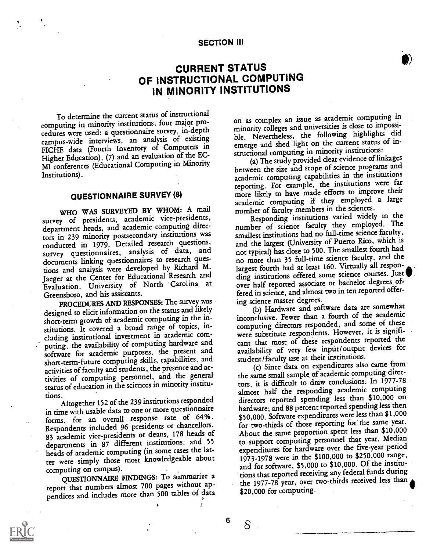#### SECTION III

# CURRENT STATUS OF INSTRUCTIONAL COMPUTING IN MINORITY INSTITUTIONS

To determine the current status of instructional computing in minority institutions, four major procedures were used: a questionnaire survey, in-depth campus-wide interviews, an analysis of existing FICHE data (Fourth Inventory of Computers in Higher Education), (7) and an evaluation of the EC-MI conferences (Educational Computing in Minority Institutions).

# QUESTIONNAIRE SURVEY (8)

WHO WAS SURVEYED BY WHOM: A mail survey of presidents, academic vice-presidents, department heads, and academic computing directors in 239 minority postsecondary institutions was conducted in 1979. Detailed research questions, survey questionnaires, analysis of data, and documents linking questionnaires to research questions and analysis were developed by Richard M. Jaeger at the Center for Educational Research and Evaluation, University of North Carolina at Greensboro, and his assistants.

PROCEDURES AND RESPONSES: The survey was designed to elicit information on the status and likely short-term growth of academic computing in the institutions. It covered a broad range of topics, including institutional investment in academic computing, the availability of computing hardware and software for academic purposes, the present and short-term-future computing skills., capabilities, and activities of faculty and students, the presence and activities of computing personnel, and the general status of education in the sciences in minority institu-

tions. Altogether 152 of the 239 institutions responded in time with usable data to one or more questionnaire forms, for an overall response rate of 64%. Respondents included 96 presidents or chancellors, 83 academic vice-presidents or deans, 178 heads of departments in 87 different institutions, and 55 heads of academic computing (in some cases the latter were simply those most knowledgeable about computing on campus).

QUESTIONNAIRE FINDINGS: To summarize a report that numbers almost 700 pages without appendices and includes more than 500 tables of data on as complex an issue as academic computing in minority colleges and universities is close to impossible. Nevertheless, the following highlights did emerge and shed light on the current status of instructional computing in minority institutions:

(a) The study provided clear evidence of linkages between the size and scope of science programs and academic computing capabilities in the institutions reporting. For example, the institutions were far more likely to have made efforts to improve their academic computing if they employed a large number of faculty members in the sciences.

Responding institutions varied widely in the number of science faculty they employed. The smallest institutions had no full-time science faculty, and the largest (University of Puerto Rico, which is not typical) has close to 500. The smallest fourth had no more than 35 full-time science faculty, and the largest fourth had at least 160. Virtually all responding institutions offered some science courses. Just . over half reported associate or bachelor degrees offered in science, and almost two in ten reported offering science master degrees.

(b) Hardware and software data are somewhat inconclusive. Fewer than a fourth of the academic computing directors responded, and some of these were substitute respondents. However, it is significant that most of these respondents reported the availability of very few input/output devices for student /faculty use at their institutions.

(c) Since data on expenditures also came from the same small sample of academic computing directors, it is difficult to draw conclusions. In 1977-78 almost half the responding academic computing directors reported spending less than \$10,000 on hardware; and 88 percent reported spending less then \$50,000. Software expenditures were less than \$1,000 for two-thirds of those reporting for the same year. About the same proportion spent less than \$10,000 to support computing personnel that year. Median expenditures for hardware over the five-year period 1973-1978 were in the \$100,000 to \$250,000 range, and for software, \$5,000 to \$10,000. Of the institutions that reported receiving any federal funds during the 1977-78 year, over two-thirds received less than, \$20,000 for computing.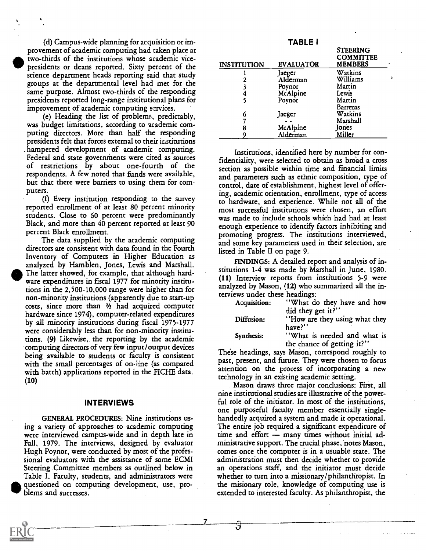(d) Campus-wide planning for acquisition or improvement of academic computing had taken place at two-thirds of the institutions whose academic vicepresidents or deans reported. Sixty percent of the science department heads reporting said that study groups at the departmental level had met for the same purpose. Almost two-thirds of the responding presidents reported long-range institutional plans for improvement of academic computing services.

(e) Heading the list of problems, predictably, was budget limitations, according to academic computing directors. More than half the responding presidents felt that forces external to their institutions ,hampered development of academic computing. Federal and state governments were cited as sources of restrictions by about one-fourth of the respondents. A few noted that funds were available, but that there were barriers to using them for computers.

(f) Every institution responding to the survey reported enrollment of at least 80 percent minority students. Close to 60 percent were predominantly Black, and more than 40 percent reported at least 90 percent Black enrollment.

The data supplied by the academic computing directors are consistent with data found in the Fourth Inventory of Computers in Higher Education as analyzed by Hamblen, Jones, Lewis and Marshall. The latter showed, for example, that although hard-' ware expenditures in fiscal 1977 for minority institutions in the 2,500-10,000 range were higher than for non-minority institutions (apparently due to start-up costs, since more than 2/3 had acquired computer hardware since 1974), computer-related expenditures by all minority institutions during fiscal 1975-1977 were considerably less than for non-minority institutions. (9) Likewise,, the reporting by the academic computing directors of very few input/output devices being available to students or faculty is consistent with the small percentages of on-line (as compared with batch) applications reported in the FICHE data. (10)

#### INTERVIEWS

GENERAL PROCEDURES: Nine institutions using a variety of approaches to academic computing were interviewed campus-wide and in depth late in Fall, 1979. The interviews, designed by evaluator Hugh Poynor, were conducted by most of the professional evaluators with the assistance of some ECMI Steering Committee members as outlined below in Table I. Faculty, students, and administrators were questioned on computing development, use, pro-<br>blems and successes. blems and successes.

|                    | <b>TABLE I</b>   |                 |  |
|--------------------|------------------|-----------------|--|
|                    |                  | <b>STEERING</b> |  |
|                    |                  | COMMITTEE       |  |
| <b>INSTITUTION</b> | <b>EVALUATOR</b> | <b>MEMBERS</b>  |  |
|                    | Jaeger           | Watkins         |  |
|                    | Alderman         | Williams        |  |
|                    | Poynor           | Martin          |  |
| 4                  | McAlpine         | Lewis           |  |
|                    | Poynor           | Martin          |  |
|                    |                  | Barreras        |  |
| 6                  | Jaeger           | Watkins         |  |
|                    |                  | Marshall        |  |
| 8                  | McAlpine         | Jones           |  |
|                    | Alderman         | Miller          |  |

Institutions, identified here by number for confidentiality, were selected to obtain as broad a cross section as possible within time and financial limits and parameters such as ethnic composition, type of control, date of establishment, highest level of offering, academic orientation, enrollment, type of access to hardware, and experience. While not all of the most successful institutions were chosen, an effort was made to include schools which had had at least enough experience to identify factors inhibiting and promoting progress. The institutions interviewed, and some key parameters used in their selection, are listed in Table II on page 9.

FINDINGS: A detailed report and analysis of institutions 1-4 was made by Marshall in June, 1980. (11) Interview reports from institutions 5-9 were analyzed by Mason, (12) who summarized all the interviews under these headings:

| Acquisition: | "What do they have and how    |
|--------------|-------------------------------|
|              | did they get it?"             |
| Diffusion:   | "How are they using what they |
|              | have?"                        |
| Synthesis:   | "What is needed and what is   |
|              |                               |

the chance of getting it?" These headings, says Mason, correspond roughly to past, present, and future. They were chosen to focus attention on the process of incorporating a new technology in an existing academic setting.

Mason draws three major conclusions: First, all nine institutional studies are illustrative of the powerful role of the initiator. In most of the institutions, one purposeful faculty member essentially singlehandedly acquired a system and made it operational. The entire job required a significant expenditure of time and effort  $-$  many times without initial administrative support. The crucial phase, 'notes Mason, comes once the computer is in a usuable state. The administration must then decide whether to provide an operations staff, and the initiator must decide whether to turn into a missionary/philanthropist. In the misionary role, knowledge of computing use is extended to interested faculty. As philanthropist, the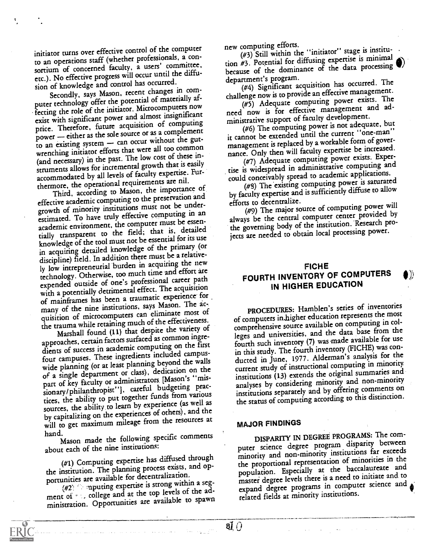initiator turns over effective control of the computer to an operations staff (whether professionals, a consortium of concerned faculty, a users' committee, etc.). No effective progress will occur until the diffusion of knowledge and control has occurred.

Secondly, says Mason, recent changes in computer technology offer the potential of materially affecting the role of the initiator. Microcomputers now exist with significant power and almost insignificant price. Therefore, future acquisition of computing power - either as the sole source or as a complement to an existing system - can occur without the gutwrenching initiator efforts that were all too common (and necessary) in the past. The low cost of these instruments allows for incremental growth that is easily accommodated by all levels of faculty expertise. Furthermore, the operational requirements are nil.

Third, according to Mason, the importance of effective academic computing to the preservation and growth of minority institutions must not be underestimated. To have truly effective computing in an academic environment, the computer must be essentially transparent to the field; that is, detailed knowledge of the tool must not be essential for its use in acquiring detailed knowledge of the primary (or discipline) field. In addition there must be a relatively low intrepreneurial burden in acquiring the new technology. Otherwise, too much time and effort are expended outside of one's professional career path with a potentially detrimental effect. The acquisition of mainframes has been a traumatic experience for many of the nine institutions, says Mason. The acquisition of microcomputers can eliminate most of the trauma while retaining much of the effectiveness.

Marshall found (11) that despite the variety of approaches, certain factors surfaced as common ingredients of success in academic computing on the first four campuses. These ingredients included campuswide planning (or at least planning beyond the walls of a single department or class), dedication on the part of key faculty or administrators. [Mason's "missionary/philanthropist"j, careful budgeting practices, the ability to put together funds from various sources, the ability to learn by experience (as well as by capitalizing on the experiences of others), and the will to get maximum mileage from the resources at

hand. Mason made the following specific comments about each of the nine institutions:

(#1) Computing expertise has diffused through the institution. The planning process exists, and opportunities are available for decentralization.

 $(42)$ : :::: inputing expertise is strong within a segment of  $\cdot$  , college and at the top levels of the administration. Opportunities are available to spawn new computing efforts.

(#3) Still within the "initiator" stage is institution #3. Potential for diffusing expertise is minimal because of the dominance of the data processing department's program.

(#4) Significant acquisition has occurred. The challenge now is to provide an effective management.

(#5) Adequate computing power exists. The need now is for effective management and administrative support of faculty development.

(#6) The computing power is not adequate, but it cannot be extended until the current "one-man" management is replaced by a workable form of governance. Only then will faculty expertise be increased.

(#7) Adequate computing power exists. Expertise is widespread in administrative computing and could conceivably spread to academic applications.

(#8) The existing computing power is saturated by faculty expertise and is sufficiently diffuse to allow efforts to decentralize.

(#9) The major source of computing power will always be the central computer center provided by the governing body of the institution. Research projects are needed to obtain local processing power.

# FICHE FOURTH INVENTORY OF COMPUTERS 0)) IN HIGHER EDUCATION

PROCEDURES: Hamblen's series of inventories of computers inligher education represents the most comprehensive source available on computing in colleges and universities, and the data base from the fourth such inventory (7) was made available for use in this study. The fourth inventory (FICHE) was conducted in June, 1977. Alderman's analysis for the current study of instructional computing in minority. institutions (13) extends the original summaries and analyses by considering minority and non-minority institutions separately and by offering comments on the status of computing according to this distinction.

## MAJOR FINDINGS

 $81^\circ$ 

DISPARITY IN DEGREE PROGRAMS: The computer science degree program disparity between minority and non-minority institutions far exceeds the proportional representation of minorities in the population. Especially at the baccalaureate and master degree levels there is a need to initiate and to expand degree programs in computer science and related fields at minority institutions.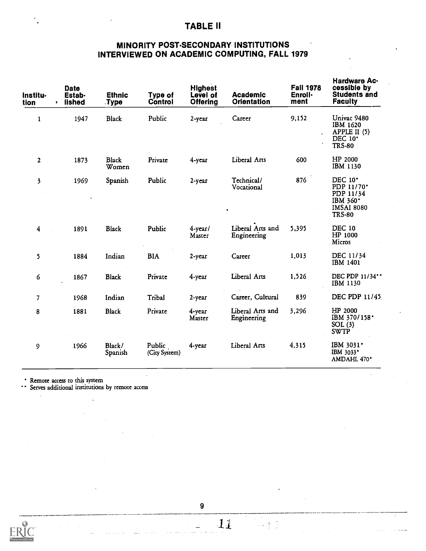## TABLE II

## MINORITY POST-SECONDARY INSTITUTIONS INTERVIEWED ON ACADEMIC COMPUTING, FALL 1979

| Institu-<br>tion        | <b>Date</b><br>Estab-<br>lished<br>, | <b>Ethnic</b><br>Type. | Type of<br>Control      | <b>Highest</b><br>Level of<br><b>Offering</b> | <b>Academic</b><br><b>Orientation</b> | <b>Fall 1978</b><br>Enroll-<br>ment | Hardware Ac-<br>cessible by<br><b>Students and</b><br><b>Faculty</b>                 |
|-------------------------|--------------------------------------|------------------------|-------------------------|-----------------------------------------------|---------------------------------------|-------------------------------------|--------------------------------------------------------------------------------------|
| $\mathbf{1}$            | 1947                                 | <b>Black</b>           | Public                  | 2-year                                        | Career                                | 9,152                               | Univac 9480<br>IBM 1620<br>APPLE II (5)<br>DEC $10^{\circ}$<br><b>TRS-80</b>         |
| $\overline{\mathbf{c}}$ | 1873                                 | <b>Black</b><br>Women  | Private                 | 4-year                                        | Liberal Arts                          | 600                                 | HP 2000<br>IBM 1130                                                                  |
| 3                       | 1969                                 | Spanish                | Public                  | 2-year                                        | Technical/<br>Vocational              | 876                                 | DEC 10*<br>PDP 11/70*<br>PDP 11/34<br>IBM 360*<br><b>IMSAI 8080</b><br><b>TRS-80</b> |
| $\boldsymbol{4}$        | 1891                                 | <b>Black</b>           | Public                  | 4-year/<br>Master                             | Liberal Arts and<br>Engineering       | 5,395                               | <b>DEC 10</b><br>HP 1000<br>Micros                                                   |
| 5                       | 1884                                 | Indian                 | <b>BIA</b>              | 2-year                                        | Career                                | 1,013                               | DEC 11/34<br>IBM 1401                                                                |
| 6                       | 1867                                 | <b>Black</b>           | Private                 | 4-year                                        | Liberal Arts                          | 1,526                               | DEC PDP 11/34**<br>IBM 1130                                                          |
| 7                       | 1968                                 | Indian                 | Tribal                  | $2 - ycar$                                    | Career, Cultural                      | 839                                 | DEC PDP 11/45                                                                        |
| 8                       | 1881                                 | <b>Black</b>           | Private                 | $4 - ycar$<br>Master                          | Liberal Arts and<br>Engineering       | 3,296                               | HP 2000<br>IBM 370/158*<br>SOL(3)<br><b>SWTP</b>                                     |
| 9                       | 1966                                 | Black/<br>Spanish      | Public<br>(City System) | $4 - ycar$                                    | Liberal Arts                          | 4,315                               | IBM $3031$ <sup>*</sup><br>IBM 3033*<br>AMDAHL 470*                                  |

Remote access to this system

 $\hat{\mathcal{L}}$ 

Serves additional institutions by remote access

 $\ddot{\phantom{0}}$ 

 $\ddot{\phantom{a}}$ 



 $\frac{1}{2}$ 

11

 $\mathbb{Z} \subset \mathbb{Z}^2$ 

 $\mathcal{L}$ 

 $\lambda$ 

 $\sim$   $\sim$   $\sim$   $\sim$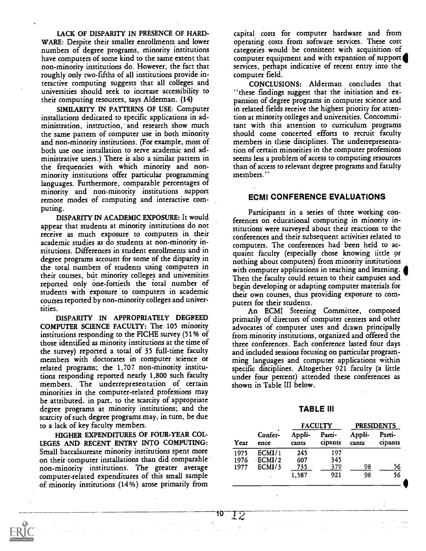LACK OF DISPARITY IN PRESENCE OF HARD-WARE: Despite their smaller enrollments and lower numbers of degree programs, minority institutions have computers of some kind to the same extent that non-minority institutions do. However, the fact that roughly only two-fifths of all institutions provide interactive computing suggests that all colleges and universities should seek to increase accessibility to their computing resources, says Alderman. (14)

SIMILARITY. IN PATTERNS OF USE: Computer installations dedicated to specific applications in administration, instruction, and research show much the same pattern of computer use in both minority and non-minority institutions. (For example, most of both use one installation to serve academic and administrative users.) There is also a similar pattern in the frequencies with which minority and nonminority institutions offer particular programming languages. Furthermore, comparable percentages of minority and non-minority institutions support remote modes of computing and interactive computing.

DISPARITY IN ACADEMIC EXPOSURE: It would appear that students at minority institutions do not receive as much exposure to computers in their academic studies as do students at non-minority institutions. Differences in student enrollments and-in degree programs account for some of the disparity in the total numbers of students using computers in their courses, but minority colleges and universities reported only one-fortieth the total number of students with exposure to computers in academic courses reported by non-minority colleges and universities.

DISPARITY IN APPROPRIATELY DEGREED COMPUTER SCIENCE FACULTY: The .105 minority institutions responding to the FICHE survey (51% of those identified as minority institutions at the time of the survey) reported a total of 35 full-time faculty members with doctorates in computer science or related programs; the 1,707 non-minority institutions responding reported nearly 1,800 such faculty members. The underrepresentation of certain minorities in the computer-related professions may be attributed. in part, to the scarcity of appropriate degree programs at minority institutions; and the scarcity of such degree programs may, in turn, be due to a lack of key faculty members.

HIGHER EXPENDITURES OF FOUR-YEAR COL-LEGES AND RECENT ENTRY INTO COMPUTING: Small baccalaureate minority institutions spent more on their computer installations than did comparable non-minority institutions. The greater average computer-related expenditures of this small sample of minority institutions (14%) arose primarily from

Service Construction

capital costs for computer hardware and from operating, costs from software services. These cost categories would be consistent with acquisition. of computer equipment and with expansion of support services, perhaps indicative of recent entry into the computer field.

CONCLUSIONS: Alderman concludes that "these findings suggest that the initiation and expansion of degree programs in computer science and in related fields receive the highest priority for attention at minority colleges and universities. Concommi tant with this attention to curriculum programs should come concerted efforts to recruit faculty members in these disciplines. The underrepresentation of certain minorities in the computer professions seems less a problem of access to computing resources than of access to relevant degree programs and faculty members."

## ECMI CONFERENCE EVALUATIONS

Participants in a series of three working conferences on educational computing in minority institutions were surveyed about their reactions to the conferences and their subsequent activities related to computers. The conferences had been held to acquaint faculty (especially those knowing little or nothing about computers) from minority institutions with computer applications in teaching and learning. Then the faculty could return to their campuses and begin developing or adapting computer materials for their own courses, thus providing exposure to computers for their students.

An ECMI Steering Committee, composed primarily of directors of computer centers and other advocates of computer uses and drawn principally from minority institutions, organized and offered the three conferences. Each conference lasted four days and included sessions focusing on particular programming languages and computer applications within specific disciplines. Altogether 921 faculty (a little under four percent) attended these conferences as shown in Table III below.

#### TABLE III

|      |                 | <b>FACULTY</b>  |                   | <b>PRESIDENTS</b> |                   |  |
|------|-----------------|-----------------|-------------------|-------------------|-------------------|--|
| Year | Confer-<br>ence | Appli-<br>cants | Parti-<br>cipants | Appli-<br>cants   | Parti-<br>cipants |  |
| 1975 | ECMI/1          | 245             | 197               |                   |                   |  |
| 1976 | ECMI/2          | 607             | 345               |                   |                   |  |
| 1977 | ECMI/3          | 735             | <u>379</u>        | 98                | 56                |  |
|      |                 | 1,587           | 921               | 98                | 56                |  |

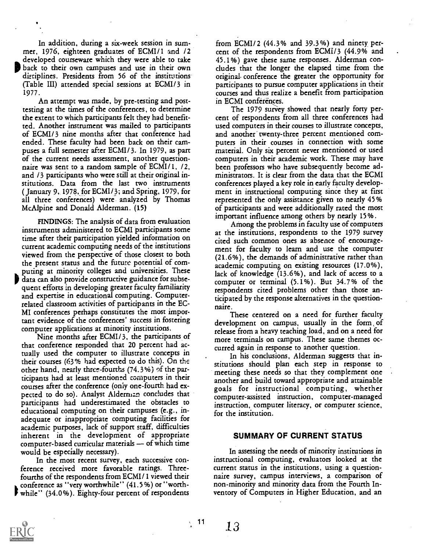In addition, during a six-week session in summer, 1976, eighteen graduates of  $ECMI/1$  and  $/2$ developed courseware which they were able to take p back to their own campuses and use in their own disciplines. Presidents from 56 of the institutions (Table III) attended special sessions at ECMI/3 in 1977.

An attempt was made, by pre-testing and posttesting at the times of the conferences, to determine the extent to which participants felt they had benefitted. Another instrument was mailed to participants of ECMI/3 nine months after that conference had ended. These faculty had been back on their campuses a full semester after ECMI/ 3. In 1979, as part of the current needs assessment, another questionnaire was sent to a random sample of ECMI/1, /2, and /3 participants who were still at their original institutions. Data from the last two instruments (January 9, 1978, for ECMI/3; and Spring, 1979, for all three conferences) were analyzed by Thomas McAlpine and Donald Alderman. (15)

FINDINGS: The analysis of data from evaluation instruments administered to ECMI participants some time after their participation yielded information on current academic computing needs of the institutions viewed from the perspective of those closest to both the present status and the future potential of computing at minority colleges and universities. These data can also provide constructive guidance for subsequent efforts in developing greater faculty familiarity and expertise in educational computing. Computerrelated classroom activities of participants in the EC-MI conferences perhaps constitutes the most important evidence of the conferences' success in fostering computer applications at minority institutions.

Nine months after ECMI/3, the participants of that conference responded that 20 percent had actually used the computer to illustrate concepts in their courses (63% had expected to do this). On the other hand, nearly three-fourths (74.3%) of the participants had at least mentioned computers in their courses after the conference (only one-fourth had expected to do so). Analyst Alderman concludes that participants had underestimated the obstacles to educational computing on their campuses (e.g., inadequate or inappropriate computing facilities for academic purposes, lack of support staff, difficulties inherent in the development of appropriate  $computer-based curricular materials — of which time$ would be especially necessary).

In the most recent survey, each successive conference received more favorable ratings. Threefourths of the respondents from ECMI/ 1 viewed their conference as "very worthwhile" (41.5 %) or "worthwhile"  $(34.0\%)$ . Eighty-four percent of respondents

from ECMI/2 (44.3% and 39.3%) and ninety percent of the respondents from ECMI/3 (44.9% and 45.1%) gave these same responses. Alderman concludes that the longer the elapsed time from the original conference the greater the opportunity for participants to pursue computer applications in their courses and thus realize a benefit from participation in ECMI conferences.

The 1979 survey showed that nearly forty percent of respondents from all three conferences had used computers in their courses to illustrate concepts, and another' twenty-three percent mentioned computers in their courses in connection with some material. Only six percent never mentioned or used computers in their academic work. These may have been professors who have subsequently become administrators. It is clear from the data that the ECMI conferences played a key role in early faculty development in instructional computing since they at first represented the only assistance given to nearly 45% of participants and were additionally rated the most important influence among others by nearly 15%.

Among the problems in faculty use of computers at the institutions, respondents to the 1979 survey cited such common ones as absence of encouragement for faculty to learn and use the computer (21.6%), the demands of administrative rather than academic computing on existing resources (17.0%), lack of knowledge (13.6%), and lack of access to a computer or terminal (5.1%). But 34.7% of the respondents cited problems other than those anticipated by the response alternatives in the questionnaire.

These centered on a need for further faculty development on campus, usually in the form of release from a heavy teaching load, and on a need for more terminals on campus. These same themes occurred again in response to another question.

In his conclusions, Alderman suggests that institutions should plan each step in response to meeting these needs so that they complement one another and build toward appropriate and attainable goals for instructional computing, whether computer-assisted instruction, computer-managed instruction, computer literacy, or computer science, for the institution.

#### SUMMARY OF CURRENT STATUS

In assessing the needs of minority institutions in instructional computing, evaluators looked at the current status in the institutions, using a questionnaire survey, campus interviews, a comparison of non-minority and minority data from the Fourth Inventory of Computers in Higher Education, and an



11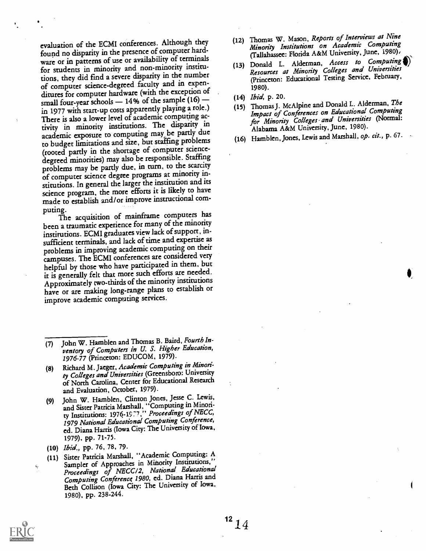evaluation of the ECMI conferences. Although they found no disparity in the presence of computer hardware or in patterns of use or availability of terminals for students in minority and non-minority institutions, they did find a severe disparity in the number of computer science-degreed faculty and in expenditures for computer hardware (with the exception of small four-year schools  $-14%$  of the sample (16)  $$ in 1977 with start-up costs apparently playing a role.) There is also a lower level of academic computing activity in minority institutions. The disparity in academic exposure to computing may, be partly due to budget limitations and size, but staffing problems (rooted partly in the shortage of computer sciencedegreed minorities) may also be responsible. Staffing problems may be partly due, in turn, to the scarcity of computer science degree programs at minority institutions. In general the larger the institution and its science program, the more efforts it is likely to have made to establish and/or improve instructional com-

puting. The acquisition of mainframe computers has been a traumatic experience for many of the minority institutions. ECMI graduates view lack of support, insufficient terminals, and lack of time and expertise as problems in improving academic computing on their campuses. The ECMI conferences are considered very helpful by those who have participated in them, but it is generally felt that more such efforts are needed. Approximately two-thirds of the minority institutions have or are making long-range plans to establish or improve academic computing services.

- John W. Hamblen and Thomas B. Baird, Fourth In- $(7)$ ventory of Computers in U. S. Higher Education, 1976-77 (Princeton: EDUCOM, 1979).
- Richard M. Jaeger, Academic Computing in Minori- $(8)$ ty Colleges and Universities (Greensboro: University of North Carolina, Center for Educational Research and Evaluation, October, 1979).
- John W. Hamblen, Clinton Jones, Jesse C. Lewis,  $(9)$ and Sister Patricia Marshall, "Computing in Minority Institutions: 1976-1977," Proceedings of NECC, 1979 National Educational Computing Conference, ed. Diana Harris (Iowa City: The University of Iowa, 1979), pp. 71-75.
- (10) Ibid., pp. 76, 78, 79.
- (11) Sister Patricia Marshall, "Academic Computing: A
- Sampler of Approaches in Mihority Institutions," Proceedings of NECC/2, National Educational Computing Conference 1980, ed. Diana Harris and Beth Collison (Iowa City: The University of Iowa, 1980), pp. 238-244.
- (12) Thomas W. Mason, Reports of Interviews at Nine Minority Institutions on Academic Computing (Tallahassee: Florida A &M University, June, 1980),
- (13) Donald L. Alderman, Access to Computing Resources at Minority Colleges and Universities (Princeton: Educational Testing Service, February, 1980).
- $(14)$  *lbid*, p. 20.
- (15) Thomas J. McAlpine and Donald L. Alderman, The Impact of Conferences on Educational Computing for Minority Colleges-and Universities (Normal: Alabama A&M University, June, 1980).
- (16) Hamblen, Jones, Lewis and Marshall, op. cit., p. 67.

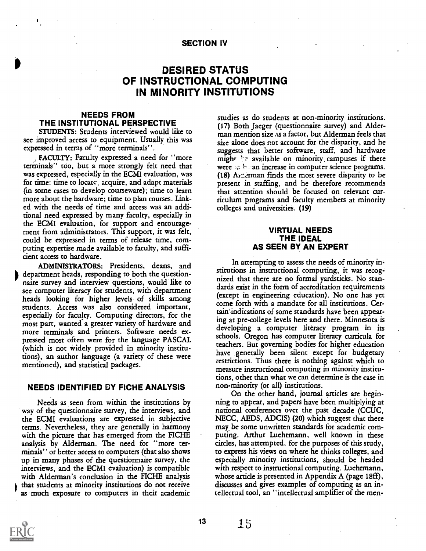#### SECTION IV

## DESIRED STATUS OF INSTRUCTIONAL COMPUTING IN MINORITY INSTITUTIONS

## NEEDS FROM THE INSTITUTIONAL PERSPECTIVE

STUDENTS: Students interviewed would like to see improved access to equipment. Usually this was expressed in terms of "more terminals".

FACULTY: Faculty expressed a need for "more terminals" too, but a more strongly felt need that was expressed, especially in the ECMI evaluation, was for time: time to locate, acquire, and adapt materials (in some cases to develop courseware); time to learn more about the hardware; time to plan courses. Linked with the needs of time and access was an additional need expressed by many faculty, especially in the ECMI evaluation, for support and encouragement from administrators. This support, it was felt, could be expressed in terms of release time, computing expertise made available to faculty, and sufficient access to hardware.

ADMINISTRATORS: Presidents, deans, and department heads, responding to both the questionnaire survey and interview questions, would like to see computer literacy for students, with department heads looking for higher levels of skills among students. Access was also considered important, especially for faculty. Computing directors, for the most part, wanted a greater variety of hardware and more terminals and printers. Software needs expressed most often were for the language PASCAL (which is not widely provided in minority institutions), an author language (a variety of these were mentioned), and statistical packages.

## NEEDS IDENTIFIED BY FICHE ANALYSIS

Needs as seen from within the institutions by way of the questionnaire survey, the interviews, and the ECMI evaluations are expressed in subjective terms. Nevertheless, they are generally in harmony with the picture that has emerged from the FICHE analysis by Alderman. The need for "more terminals" or better access to computers (that also shows up in many phases of the questionnaire survey, the interviews, and the ECMI evaluation) is compatible with Alderman's conclusion in the FICHE analysis that students at minority institutions do not receive as much exposure to computers in their academic

studies as do students at non-minority institutions. (17) Both Jaeger (questionnaire survey) and Alderman mention size as a factor, but Alderman feels that size alone does not account for the disparity, and he suggests that better software, staff, and hardware might  $\mathbb{R}^7$  available on minority, campuses if there were  $\phi$  is an increase in computer science programs. (18) Aigerman finds the most severe disparity to be present in staffing, and he therefore recommends that attention should be focused on relevant curriculum programs and faculty members at minority colleges and universities. (19)

### VIRTUAL NEEDS THE IDEAL AS SEEN BY AN EXPERT

In attempting to assess the needs of minority institutions in instructional computing, it was recognized that there are no formal yardsticks. No standards exist in the form of accreditation requirements (except in engineering education). No one has yet come forth with a mandate for all institutions. Certain indications of some standards have been appearing at pre-college levels here and there. Minnesota is developing a computer literacy program in its schools. Oregon has computer literacy curricula for teachers. But governing bodies for higher education have generally been silent except for budgetary restrictions. Thus there is nothing against which to measure instructional computing in minority institutions, other than what we can determine is the case in non-minority (or all) institutions.

On the other hand, journal articles are beginning to appear, and papers have been multiplying at national conferences over the past decade (CCUC, NECC, AEDS, ADCIS) (20) which suggest that there may, be some unwritten standards for academic computing. Arthur Luehrmann, well known in these circles, has attempted, for the purposes of this study, to express his views on where he thinks colleges, and especially minority institutions, should be headed with respect to instructional computing. Luehrmann, whose article is presented in Appendix A (page 18ff), discusses and gives examples of computing as an intellectual tool, an "intellectual amplifier of the men-

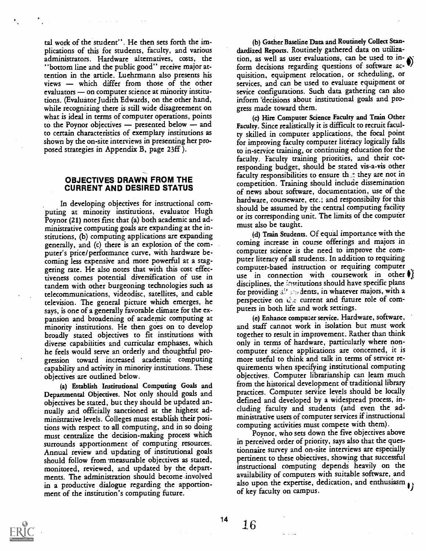tal work of the student" . He then sets forth the implications of this for students, faculty, and various administrators. Hardware alternatives, costs, the "bottom line and the public good" receive major attention in the article. Luehrmann also presents his views — which differ from those of the other evaluators - on computer science at minority institutions. (Evaluator Judith Edwards, on the other hand, while recognizing there is still wide disagreement on what is ideal in terms of computer operations, points to the Poynor objectives  $-$  presented below  $-$  and to certain characteristics of exemplary institutions as shown by the on-site interviews in presenting her proposed strategies in Appendix B, page 23ff ).

## OBJECTIVES DRAWN FROM THE CURRENT AND DESIRED STATUS

In developing objectives for instructional computing at minority institutions, evaluator Hugh Poynor (21) notes first that (a) both academic and administrative computing goals are expanding at the institutions, (b) computing applications are expanding generally, and (c) there is an explosion of the computer's price/performance curve, with hardware becoming less expensive and more powerful at a staggering rate. He also notes that with this cost effectiveness comes potential diversification of use in tandem with other burgeoning technologies such as telecommunications, videodisc, satellites, and cable television. The general picture which emerges, he says, is one of a generally favorable climate for the expansion and broadening of academic computing at minority institutions. He then goes on to develop broadly stated objectives to fit institutions with diverse capabilities and curricular emphases, which he feels would serve an orderly and thoughtful progression toward increased academic computing capability and activity in minority institutions. These objectives are outlined below.

(a) Establish Institutional Computing Goals and Departmental Objectives. Not only should goals and objectives be stated, but they should be updated annually and officially sanctioned at the highest administrative levels. Colleges must establish their positions with respect to all computing, and in so doing must centralize the decision-making process which surrounds apportionment of computing resources. Annual review and updating of institutional goals should follow from measurable objectives as stated, monitored, reviewed, and updated by the departments. The administration should become involved in a productive dialogue regarding the apportionment of the institution's computing future.

(b) Gather Baseline Data and Routinely Collect Standardized Reports. Routinely gathered data on utilization, as well as user evaluations, can be used to inform decisions regarding questions of software acquisition, equipment relocation, or scheduling, or services, and can be used to evaluate equipment or sevice configurations. Such data gathering can also inform 'decisions about institutional goals and progress made coward chem.

(c) Hire Computer Science Faculty and Train Other Faculty. Since realistically it is difficult to recruit faculty skilled in computer applications, the focal point for improving faculty computer literacy logically falls to in-service training, or continuing education for the faculty. Faculty training priorities, and their corresponding budget, should be stated vis-a-vis other faculty responsibilities to ensure the they are not in competition. Training should include dissemination of news about software, documentation, use of the hardware, courseware, etc.; and responsibilty for this should be assumed by the central computing facility or its corresponding unit. The limits of the computer must also be taught.

(d) Train Students. Of equal importance with the coming increase in course offerings and majors in computer science is the need to improve the computer literacy of all students. In addition to requiring computer-based instruction or requiring computer use in connection with coursework in other  $()$ disciplines, the Institutions should have specific plans for providing  $\mathbb{E}^{\prime}$  and  $d$  and  $\mathbb{E}$  is a dents, in whatever majors, with a perspective on  $\mathcal{C}_{\mathcal{L}}$  current and future role of computers in both life and work settings.

(e) Enhance computer service. Hardware, software, and staff cannot work in isolation but must work together to result in improvement. Rather than think only in terms of hardware, particularly where noncomputer science applications are concerned, it is more useful to think and talk in terms of service requirements when specifying institutional computing objectives. Computer librarianship can learn much from the historical development of traditional library practices. Computer service levels should be locally defined and developed by a widespread process, including faculty and students (and even the administrative users of computer services if instructional computing activities must compete with them).

Poynor, who sets down the five objectives above in perceived order of priority, says also that the questionnaire survey and on-site interviews are especially pertinent to these objectives, showing that successful instructional computing depends heavily on the availability of computers with suitable software, and also upon the expertise, dedication, and enthusiasm <br>of key faculty on campus.

 $\mathbf{w} = \mathbf{w}$  , where



 $14 \quad 16$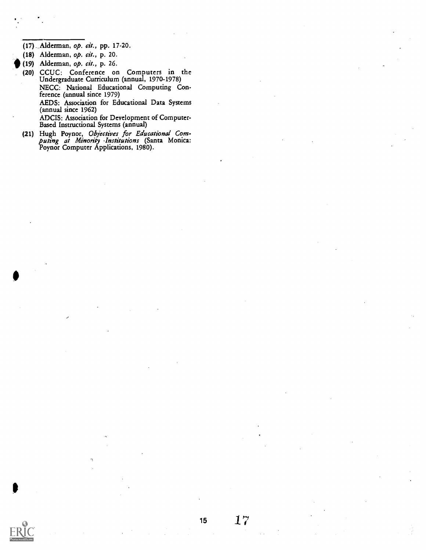(17) \_Alderman, op. cit., pp. 17-20.

(18) Alderman, op. cit., p. 20.

(19) Alderman, op. cit., p. 26.

(20) CCUC: Conference on Computers in the Undergraduate Curriculum (annual, 1970-1978) NECC: National Educational Computing Conference (annual since 1979) AEDS: Association for Educational Data Systems (annual since 1962)

> ADCIS: Association for Development of Computer-Based Instructional Systems (annual)

(21) Hugh Poynor, Objectives for Educational Com-<br>puting at Minority Institutions (Santa Monica:<br>Poynor Computer Applications, 1980).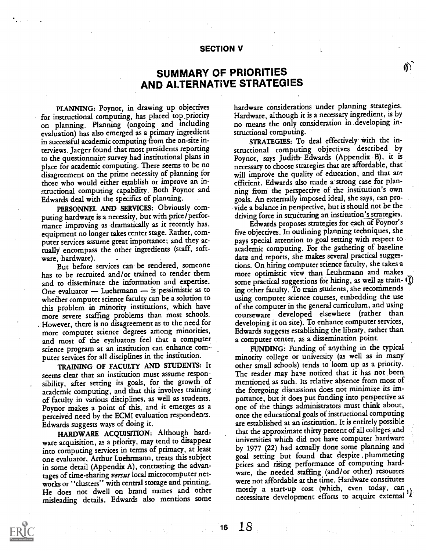#### SECTION V

# SUMMARY OF PRIORITIES AND ALTERNATIVE STRATEGIES

PLANNING: Poynor, in drawing up objectives for instructional computing, has placed top ,priority on planning. Planning (ongoing and including evaluation) has also emerged as a primary ingredient in successful academic computing from the on-site interviews. Jaeger found that most presidents reporting to the questionnaire survey had institutional plans in place for academic computing. There seems to be no disagreement on the prime necessity of planning for those who would either establish or improve an instructional computing capability. Both Poynor and Edwards deal with the specifics of planning.

PERSONNEL AND SERVICES: Obviously computing hardware is a necessity, but with price/performance improving as dramatically as it recently has, equipment no longer takes center stage. Rather, computer services assume great importance; and they actually encompass the other ingredients (staff, software, hardware).

But before services can be rendered, someone has to be recruited and/or trained to render them and to disseminate the information and expertise. One evaluator  $-$  Luchrmann  $-$  is 'pessimistic as to whether computer science faculty can be a solution to this problem in minority institutions, which have more severe staffing problems than most schools. . However, there is no disagreement as to the need for more computer science degrees among minorities, and most of the evaluators feel that a computer science program at an institution can' enhance computer services for all disciplines in the institution.

TRAINING OF FACULTY AND STUDENTS: It seems dear that an institution must assume responsibility, after setting its goals, for the growth of academic computing, and that this involves training of faculty in various disciplines, as well as students. Poynor makes a point of this, and it emerges as a perceived need by the ECMI evaluation respondents. Edwards suggests ways of doing it.

HARDWARE ACQUISITION: Although hardware acquisition, as a priority, may tend to disappear into computing services in terms of primacy, at least one evaluator, Arthur Luehrmann, treats this subject in some detail (Appendix A), contrasting the advantages of time-sharing versus local microcomputer networks or "clusters" with central storage and printing. He does not dwell on brand names and other mostly a start-up cost (which, even today, can misleading details. Edwards also mentions some

hardware considerations under planning strategics. Hardware, although it is a necessary ingredient, is by no means the only consideration in developing instructional computing.

STRATEGIES: To deal effectively. with the instructional computing objectives described by Poynor, says Judith Edwards (Appendix B), it is necessary to choose strategies that are affordable, that will improve the quality of education, and that are efficient. Edwards also made a strong case for planning from the perspective of the institution's own goals. An externally imposed ideal, she says, can provide a balance in perspective, but is should not be the driving force in structuring an institution's strategies.

Edwards proposes strategies for each of Poynor's five objectives. In outlining planning techniques, she pays special attention to goal setting with respect to academic computing. For the gathering of baseline data and reports, she makes several practical suggestions. On hiring computer science faculty, she takes a more optimistic view than Leuhrmann and makes some practical suggestions for hiring, as well as train- $\langle \cdot \rangle$ ing other faculty. To train students, she recommends using computer science courses, embedding the use of the computer in the general curriculum, and using courseware developed elsewhere (rather than developing it on site). To enhance computer services, Edwards suggests establishing the library, rather than a computer center, as a dissemination point.

FUNDING: Funding of anything in the typical minority college or university (as well as in many other small schools) tends to loom up as a priority. The reader may have noticed that it has not been mentioned as such. Its relative absence from most of the foregoing discussions does not minimize its importance, but it does put funding into perspective as one of the things administrators must think about, once the educational goals of instructional computing are established at an institution. It is entirely possible that the approximate thirty percent of all colleges and universities which did not have computer hardware by 1977 (22) had actually done some planning and goal setting but found that despite . plummeting prices and rising performance of computing hardware, the needed staffing (and/or other) resources were not affordable at the time. Hardware constitutes mecessitate development efforts to acquire external 1)



tuvel.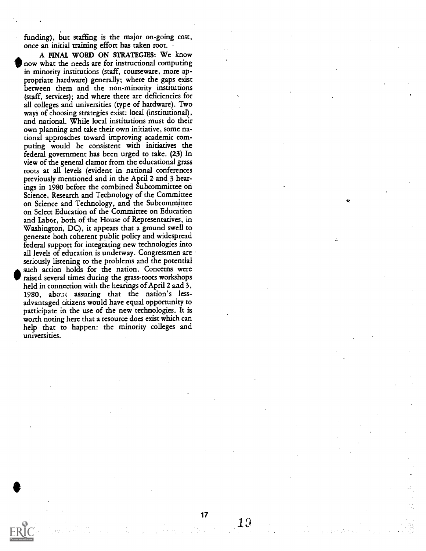funding), but staffing is the major on-going cost, once an initial training effort has taken root.

A FINAL WORD ON STRATEGIES: We know now what the needs are for instructional computing in minority institutions (staff, courseware, more appropriate hardware) generally; where the gaps exist between them and the non-minority institutions (staff, services); and where there are deficiencies for all colleges and universities (type of hardware). Two ways of choosing strategies exist: local (institutional), and national. While local institutions must do their own planning and take their own initiative, some national approaches toward improving academic computing would be consistent with initiatives the federal government has been urged to take. (23) In view of the general clamor from the educational grass roots at all levels (evident in national conferences previously mentioned and in the April 2 and 3 hearings in 1980 before the combined Subcommittee on Science, Research and Technology of the Committee on Science and Technology, and the Subcommittee on Select Education of the Committee on Education and Labor, both of the House of Representatives, in Washington, DC), it appears that a ground swell to generate both coherent public policy and widespread federal support for integrating new technologies into all levels of education is underway. Congressmen are seriously listening to the problems and the potential such action holds for the nation. Concerns were raised several times during the grass-roots workshops held in connection with the hearings of April 2 and 3, 1980, abowe assuring that the nation's lessadvantaged citizens would have equal opportunity to participate in the use of the new technologies. It is worth noting here that a resource does exist which can help that to happen: the minority colleges and universities.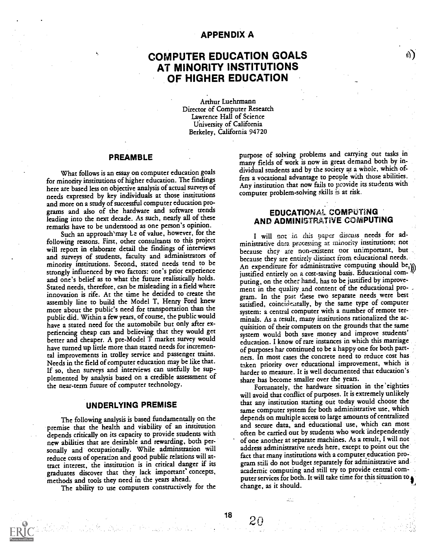## APPENDIX A

# COMPUTER EDUCATION GOALS AT MINORITY INSTITUTIONS OF HIGHER EDUCATION

Arthur Luehrmann Director of Computer Research Lawrence Hall of Science University of California Berkeley, California 94720

#### PREAMBLE

What follows is an essay on computer education goals for minority institutions of higher education. The findings here are based less on objective analysis of actual surveys of needs expressed by key individuals at those institutions and more on a study of successful computer education programs and also of the hardware and software trends leading into the next decade. As such, nearly all of these remarks have to be understood as one person's opinion.

Such an approach may Le of value, however, for the following reasons. First, other consultants to this project will report in elaborate detail the findings of interviews<br>and surveys of students, faculty and administrators of minority institutions. Second, stated needs tend to be strongly influenced by two factors: one's prior experience and one's belief as to what the future realistically holds. Stated needs, therefore, can be misleading in a field where innovation is rife. At the time he decided to create the assembly line to build the Model T, Henry Ford knew more about the public's need for transportation than the public did. Within a few years, of course, the public would have a stated need for the automobile but only after experiencing cheap cars and believing that they would get better and cheaper. A pre-Model T market survey would have turned up little more than stated needs for incremental improvements in trolley service and passenger trains. Needs in the field of computer education may be like that. If so, then surveys and interviews can usefully be supplemented by analysis based on a credible assessment of the near-term future of computer technology.

#### UNDERLYING PREMISE

The following analysis is based fundamentally on the premise that the health and viability of an institution depends critically on its capacity to provide students with new abilities that are desirable and rewarding, both personally and occupationally. While adminstration will reduce costs of operation and good public relations will attract interest, the institution is in critical danger if its graduates discover that they lack important' concepts, methods and tools they need in the years ahead.

The ability to use computers constructively for the

purpose of solving problems and carrying out tasks in many fields of work is now in great demand both by individual students and by the society as a whole, which offers a vocational advantage to people with those abilities. Any institution that now fails to provide its students with computer problem-solving skills is at risk.

W 1

#### EDUCATIONAL COMPUTING AND ADMINISTRATIVE COMPUTING

<sup>I</sup> will not in this taper discuss needs for administrative data processing at: minority institutions; not because they are non-existent oor unimportant, but because they are entirely distinct from educational needs. An expenditure for administrative computing should be, $\mathfrak{m}$ justified entirely on a cost-saving basis. Educational computing, on the other hand, has to be justified by improvement in the quality, and content of the educational program. In the past these two separate needs were best satisfied, coincideatally, by the same type of computer system: a central computer with a number of remote terminals. As a result, many institutions rationalized the ac quisition of their computers on the grounds that the same system would both save money and improve students' education. I know of rare instances in which this marriage of purposes has continued to be a happy one for both partners. In most cases the concrete need to reduce cost has taken priority over educational improvement, which is harder to measure. It is well documented that education's share has become smaller over the years.

Fortunately, the hardware situation in the 'eighties will avoid that conflict of purposes. It is extremely unlikely that any institution starting out today would choose the same computer system for both administrative use, which depends on multiple access to large amounts of centralized and secure data, and educational use, which can most often be carried out by students who work independently of one another at separate machines. As a result, I will not address administrative needs here, except to point out the fact that many institutions with a computer education program still do not budget separately for administrative and academic computing and still try to provide central computer services for both. It will take time for this situation to a change, as it should.

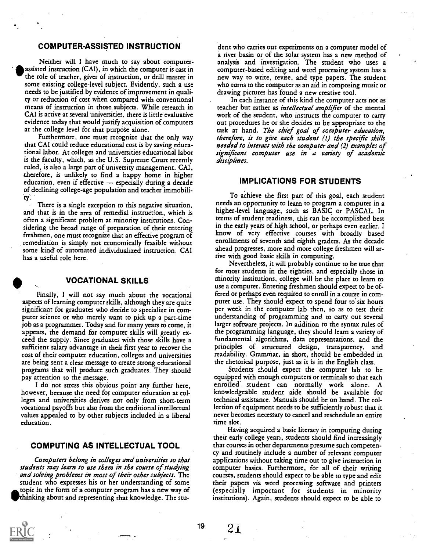### COMPUTER-ASSISTED INSTRUCTION

Neither will I have much to say about computerassisted instruction (CAI), in which the computer is cast in the role of teacher, giver of instruction, or drill master in some existing college-level subject. Evidently, such a use nccds to be justified by evidence of improvement in quality or reduction of cost when compared with conventional means of instruction in those. subjects. While research in CAI is active at several universities, there is little evaluative evidence today that would justify acquisition of computers at the college level for that purpose alone.

Furthermore, one must recognize that the only way that CAI could reduce educational cost is by saving educational labor. At colleges and universities educational labor is the faculty, which, as the U.S. Supreme Court recently ruled, is also a large part of university management. CAI, therefore, is unlikely to find a happy home in higher education, even if effective  $-$  especially during a decade of declining college-age population and teacher immobility.

There is a single exception to this negative situation, and that is in the area of remedial instruction, which is often a significant problem at minority institutions. Considering the broad range of preparation of their entering freshmen, one must recognize that an effective program of remediation is simply not economically feasible without some kind' of automated individualized instruction. CAI has a useful role hcrc.

#### VOCATIONAL SKILLS

Finally, I will not say much about the vocational aspects of learning computer skills, although they are quite significant for graduates who decide to specialize in computer science or who merely want to pick up a part-time job as a programmer. Today and for many years to come, it appears, the demand for computer skills will greatly exceed the supply. Since graduates with those skills have a sufficient salary advantage in their first year to recover the cost of their computer education, colleges and universities are being sent a clear message to create strong educational programs that will produce such graduates. They should pay attention to the message.

I do not stress this obvious point any further hcrc, however, because the need for computer education at colleges and universities derives not only from short-term vocational payoffs but also from the traditional intellectual values appealed to by other subjects included in a liberal education.

#### COMPUTING AS INTELLECTUAL TOOL

Computers belong in colleges and universities so that students may learn to use them in the course of studying and solving problems in most of their other subjects. The student who expresses his or her understanding of some 'thinking 'thinking about and representing that knowledge. The stutopic in the form of a computer program has a new way of dent who carries out experiments on a computer model of a river basin or of the solar system has a new method of analysis and investigation. The student who uses a computer-based editing and word processing system has a new way to write, revise, and type papers. The student who turns to the computer as an aid in composing music or drawing pictures has found a new creative tool.

In each instance of this kind the computer acts not as teacher but rather as intellectual amplifier of the mental work of the student, who instructs the computer to carry out procedures he or she decides to be appropriate to the task at hand. The chief goal of computer education, therefore, is to give each student  $(1)$  the specific skills needed to interact with the computer and (2) examples of significant computer use in a variety of academic disciplines.

## IMPLICATIONS FOR STUDENTS

To achieve the first part of this goal, each student needs an opportunity to learn to program a computer in a higher-level language, such as BASIC or PASCAL. In terms of student readiness, this can be accomplished best in the early years of high school, or perhaps even earlier. I know of very effective courses with broadly based enrollments of seventh and eighth graders. As the decade ahead progresses, more and more college freshmen will arrive with good basic skills in computing.

Nevertheless, it will probably continue to be true that for most students in the eighties, and especially those in minority institutions, college will be the place to learn to use a computer. Entering freshmen should expect to be offered or perhaps even required to enroll in a course in computer use. They should expect to spend four to six hours per week in the computer lab then, so as to test their understanding of programming and to carry out several larger software projects. In addition to the syntax rules of the programming language, they should learn a variety of fundamental algorithms, data representations, and the principles of, structured design, transparency, and readability. Grammar, in short, should be embedded in the rhetorical purpose, just as it is in the English class.

Students should expect the computer lab to be equipped with enough computers or terminals so that each enrolled" student can normally work alone. A knowledgeable student aide should be available for technical assistance. Manuals should be on hand. The collection of equipment nccds to be sufficiently robust that it never becomes necessary to cancel and reschedule an entire time slot.

Having acquired a basic literacy in computing during their early college yearc, students should find increasingly that courses in other departments presume such competency and routinely include a number of relevant computer applications without taking time out to give instruction in computer basics. Furthermore, for all of their writing courses, students should expect to be able to type and edit their papers via word processing software and printers (especially important for students in minority institutions). Again, students should expect to be able to

 $19 \t21$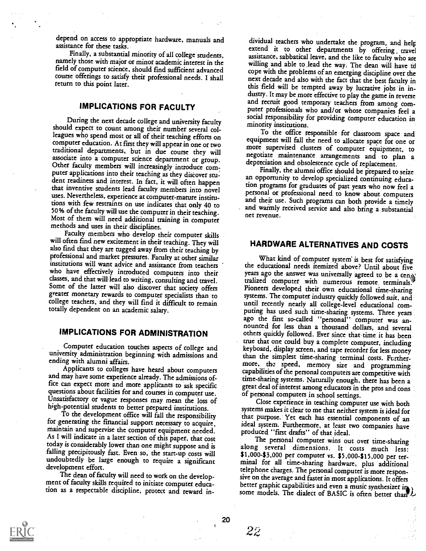depend on access to appropriate hardware, manuals and assistance for these tasks.

Finally, a substantial minority of all college students, rinally, a substantial minofity of all college students,<br>namely those with major or minor academic interest in the willing and able to lead the way. The dean will have td field of computer science, should find sufficient advanced course offerings to satisfy their professional needs. I shall return to this point later.

## IMPLICATIONS FOR FACULTY

During the next decade college and university faculty minority institutions. should expect to count among their number several colleagues who spend most or all of their teaching efforts on the contract teaching equipment will fall the need to allocate space for one or computer education. At first they will appear in one or two associate into a computer science department or group. Other faculty members will increasingly introduce computer applications into their teaching as they discover student readiness and interest. In fact, it will often happen and opportunity to develop specialized continuum equita-<br>that inventive criterial facts for the combine integrated to programs for graduates of past years who now that inventive students lead faculty members into novel uses. Nevertheless, experience at computer-mature institutions with few restraints on use indicates that only 40 to and their use. Such programs can both provide a timely 50% of the faculty will use the computer in their teaching. Most of them will need additional training in computer methods and uses in their disciplines.

will often find new excitement in their teaching. They will also find that they are tugged away from their teaching by professional and market pressures. Faculty at other similar institutions will want advice and assistance from teachers classes, and that will lead to writing, consulting and travel. Some of the latter will also discover that society offers greater monetary rewards to computer specialists than to college teachers, and they will find it difficult to remain totally dependent on an academic salary.

## IMPLICATIONS FOR ADMINISTRATION

Computer education touches aspects of college and university administration beginning with admissions and ending with alumni affairs.<br>Applicants to colleges have heard about computers

and may have some experience already. The admissions office can expect more and more applicants to ask specific questions about facilities for and courses in computer use. Unsatisfactory or vague responses may mean the loss of high-potential students to better prepared institutions.

To the development office will fall the responsibility for generating the financial support necessary to acquire, maintain and supervise the computer equipment needed. As I will indicate in a later section of this paper, that cost today is considerably lower than one might suppose and is undoubtedly be large enough to require a significant development effort.

The dean of faculty will need to work on the development of faculty skills required to initiate computer education as a respectable discipline, protect and reward in-

dividual teachers who undertake the program, and help extend it to other departments by offering travel willing and able to lead the way. The dean will have td cope with the problems of an emerging discipline over the next decade and also with the fact that the best faculty in this field will be tempted away by lucrative jobs in in-<br>dustry. It may be more effective to play the game in reverse and recruit good temporary teachers from among com-<br>puter professionals who and/or whose companies feel a social responsibility for providing computer education in

To the office responsible for classroom space and more supervised clusters of computer equipment, to negotiate maintenance arrangements and to plan a depreciation and obsolescence cycle of replacement.

Finally, the alumni office should be prepared to seize an opportunity to develop specialized continuing educapersonal or professional need to know about computers and warmly received service and also bring a substantial net revenue.

## HARDWARE ALTERNATIVES AND COSTS

What kind of computer system is best for satisfying the educational needs itemized above? Until about five years ago the answer was universally agreed to be a cen<sub>t</sub> tralized computer with numerous remote, terminals.' Pioneers developed their own educational time-sharing systems. The computer industry quickly followed suit, and until recently nearly all college-level educational computing has used, such time-sharing systems. Three years ago the first so-called "personal" computer was announced for less than a thousand dollars, and several others quickly followed. Ever since that time it has been true that one could buy a complete computer, including keyboard, display screen, and tape recorder for less money than the simplest time-sharing terminal costs. Fu.rthermore, the speed, memory size and programming capabilities of the personal computers are competitive with time-sharing systems. Naturally enough, there has been a great deal of interest among educators in the pros and cons of personal computers in school settings.

Close experience in teaching computer use with both systems makes it clear to me that neither system is ideal for that purpose. Yet each has essential components of an ideal system. Furthermore, at least two companies have produced "first drafts" of that ideal.

The personal computer wins out over time-sharing along several dimensions. It costs much less:<br>\$1,000-\$3,000 per computer vs. \$5,000-\$15,000 per terminal for all time-sharing hardware, plus additional telephone charges. The personal computer is more responsive on the average and faster in most applications. It offers better graphic capabilities and even a music synthesizer in some models. The dialect of BASIC is often better than  $L$ 



 $2\hat{z}$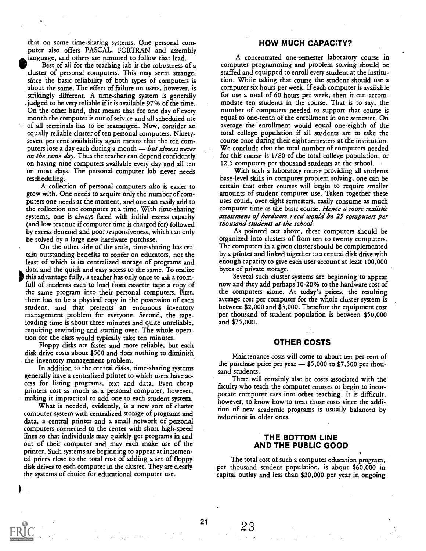that on some time-sharing systems. One personal computer also offers PASCAL, FORTRAN and assembly language, and others are rumored to follow that lead.

Best of all for the teaching lab is the robustness of a cluster of personal computers. This may seem strange, since the basic reliability of both types of computers is about the same. The effect of failure on users, however, is strikingly different. A time-sharing system is generally ,.judged to be very reliable if it is available 97% of the time. On the other hand, that means that for one day of every month the computer is out of service and all scheduled use of all terminals has to be rearranged. Now, consider an equally reliable cluster of ten personal computers. Ninetyseven per cent availability again means that the ten computers lose a day each during a month  $-b$ ut almost never on the same day. Thus the teacher can depend confidently on having nine computers available every day and all ten on most days. The personal computer lab never needs rescheduling.

A collection of personal computers also is easier to grow with. One needs to acquire only the number of computers one needs at the moment, and one can easily add to the collection one computer at a time. With time-sharing systems, one is always faced with initial excess capacity (and low revenue if computer time is charged for) followed by excess demand and poor re ;ponsiveness, which can only be solved by a large new hardware purchase.

On the other side of the scale, time-sharing has certain outstanding benefits to confer on educators, not the least of which is its centralized storage of programs and data and the quick and easy access to the same. To realize p this advantage fully, a teacher has only once to ask a roomfull of students each to load from cassette tape a copy of the same program into their personal computers. First, there has to be a physical copy in the possession of each student, and that presents an enormous inventory management problem for everyone. Second, the tapeloading time is about three minutes and quite unreliable, requiring rewinding and starting over. The whole operation for the class would typically take ten minutes.

Floppy disks are faster and more reliable, but each disk drive costs about \$500 and does nothing to diminish the inventory management problem.

In addition to the central disks, time-sharing systems generally have a centralized printer to which users have access for listing programs, text and data. Even cheap printers cost as much as a personal computer, however, making it impractical to add one to each student system.

What is needed, evidently, is a new sort of cluster computer system with centralized storage of programs and data, a central printer and a small network of personal computers connected to the center with short high-speed lines so that individuals may quickly get programs in and out of their computer and may each make use of the printer. Such systems are beginning to appear at incremental prices close to the total cost of adding a set of floppy disk drives to each computer in the cluster. They are clearly the systems of choice for educational computer use.

#### HOW MUCH CAPACITY?

A concentrated one-semester laboratory course in computer programming and problem solving should be staffed and equipped to enroll every student at the institution. While taking that course the student should use a computer six hours per week. If each computer is available for use a total of 60 hours per week, then it can accommodate ten students in the course. That is to say, the number of computers needed to support that course is equal to one-tenth of the enrollment in one semester. On average the enrollment would equal one-eighth of the total college population if all students are to take the course once during their eight semesters at the institution. We conclude that the total number of computers needed for this course is 1/80 of the total college population, or 12.5 computers per thousand students at the school.

With such a laboratory course providing all students base-level skills in computer problem solving, one can be certain that other courses will begin to require smaller amounts of student computer use. Taken together these uses could, over eight semesters, easily consume as much computer time as the basic course. Hence a more realistic assessment of hardware recd would be 25 computers per thousand students at the school.

As pointed out above, these computers should be organized into clusters of from ten to twenty computers. The computers in a given cluster should be complemented by a printer and linked together to a central disk drive with enough capacity to give each user account at least 100,000 bytes of private storage.

Several such cluster systems are beginning to appear now and they add perhaps 10-20% to the hardware cost of the computers alone. At today's prices, the resulting average cost per computer for the whole cluster system is between \$2,000 and \$3,000. Therefore the equipment cost per thousand of student population is between \$50,000 and \$75,000.

#### OTHER COSTS

Maintenance costs will come to about ten per cent of the purchase price per year  $-$  \$5,000 to \$7,500 per thousand students.

There will certainly also be costs associated with the faculty who teach the computer courses or begin to incorporate computer uses into other teaching. It is difficult, however, to know how to treat those costs since the addition of new academic programs is usually balanced by reductions in older ones.

#### THE BOTTOM LINE AND THE PUBLIC GOOD

The total cost of such a computer education program, per thousand student population, is about \$60,000 in capital outlay and less than \$20,000 per year in ongoing

21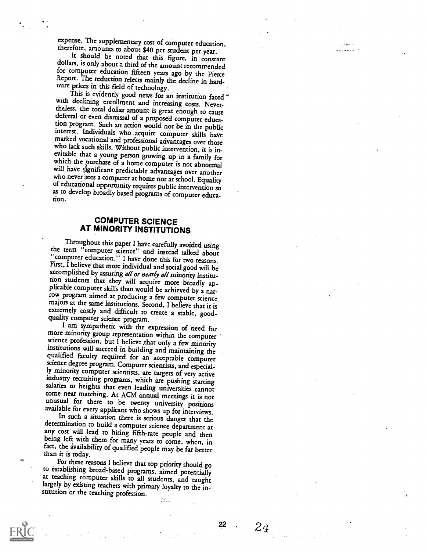expense. The supplementary cost of computer education, therefore, amounts to about \$40 per student per year. It should be noted that this figure, in constant dollars, is only about a third of the amount recommended for com Report. The reduction relects mainly the decline in hard-<br>ware prices in this field of technology.<br>This is evidently good news for an institution faced

with declining enrollment and increasing costs. Never-<br>theless, the total dollar amount is great enough to cause<br>deferral or even dismissal of a proposed computer educa-<br>tion program. Such an action would not be in the pub marked vocational and professional advantages over those<br>who lack such skills. Without public intervention, it is in-<br>evitable that a young person growing up in a family for<br>which the purchase of a home computer is not abn

## COMPUTER SCIENCE AT MINORITY INSTITUTIONS

Throughout this paper I have carefully avoided using the term "computer science" and instead talked about "computer education." I have done this for two reasons. First, I believe that more individual and social good will be accomplished by assuring all or nearly all minority institu-<br>tion students that they will acquire more broadly applicable computer skills than would be achieved by a nar-<br>row program aimed at producing a few computer science<br>majors at the same institutions. Second, I believe that it is<br>extremely costly and difficult to create a stabl

qualified faculty required for an acceptable computer science degree program. Computer scientists, and especially minority computer scientists, are targets of very active industry recruiting programs, which are pushing starting

come near matching. At ACM annual meetings it is not<br>unusual for there to be twenty university positions<br>available for every applicant who shows up for interviews.<br>In such a situation there is serious danger that the<br>deter fact, the availability of qualified people may be far better than it is today.

to establishing broad-based programs, aimed potentially at teaching computer skills to all students, and taught largely by existing teachers with primary loyalty to the in- stitution or the teaching profession.

ras<br>Antonio



22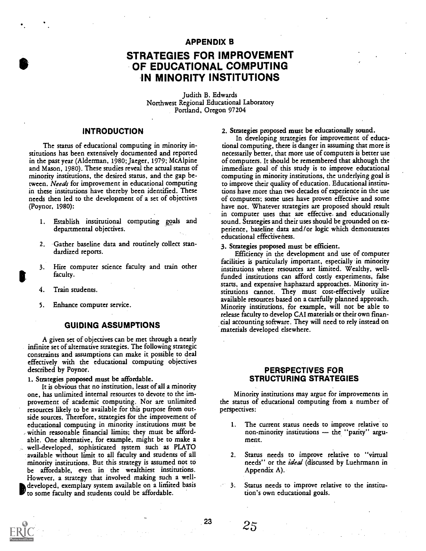## APPENDIX B

# STRATEGIES FOR IMPROVEMENT OF EDUCATIONAL COMPUTING IN MINORITY INSTITUTIONS

Judith B. Edwards Northwest Regional Educational Laboratory Portland, Oregon 97204

## INTRODUCTION

The status of educational computing in minority institutions has been extensively documented and reported in the past year (Alderman, 1980; Jaeger, 1979; McAlpine and Mason, 1980). These studies reveal the actual status of minority institutions, the desired status, and the gap between. Needs for improvement in educational computing in these institutions have thereby been identified. These needs then led to the development of a set of objectives (Poynor, 1980):

- 1. Establish institutional computing goals and departmental objectives.
- 2. Gather baseline data and routinely collect standardized reports.
- I. 3. Hire computer science faculty and train other faculty.
	- 4. Train students.
	- 5. Enhance computer service.

#### GUIDING ASSUMPTIONS

A given set of objectives can be met through a nearly infinite set of alternative strategies. The following strategic constraints and assumptions can make it, possible to deal effectively with the educational computing objectives described by Poynor.

1. Strategies proposed must be affordable.

It is obvious that no institution, least of all a minority one, has unlimited internal resources to devote to the improvement of academic computing. Nor are unlimited resources likely to be available for this purpose from outside sources. Therefore, strategics for the improvement of educational computing in minority institutions must be within reasonable financial limits; they must be affordable. One alternative, for example, might be to make a well-developed, sophisticated system such as PLATO available without limit to all faculty and students of all minority institutions. But this strategy is assumed not to be affordable, even in the wealthiest institutions. However, a strategy that involved making such a well developed, exemplary system available on a limited basis to some faculty and students could be affordable.

2. Strategies proposed must be educationally sound.

In developing strategies for improvement of educational computing, there is danger in assuming that more is necessarily better, that more use of computets is better use of computers. It should be remembered that although the immediate goal of this study is to improve educational computing in minority institutions, the underlying goal is to improve their quality of education. Educational institutions have more than two decades of experience in the use of computers; some uses have proven effective and some have not. Whatever strategies are proposed should result in computer uses that are effective. and educationally sound. Strategics and their uses should be grounded on experience, baseline data and/or logic which demonstrates educational effectiveness.

3. Strategies proposed must be efficient.

Efficiency in the development and use of computer facilities is particularly important, especially in minority institutions where resources are limited. Wealthy, wellfunded institutions can afford costly experiments, false starts, and expensive haphazard approaches. Minority institutions cannot. They must cost-effectively utilize available resources based on a carefully planned approach. Minority institutions, for example, will not be able to release faculty to develop CAI materials or their own financial accounting software. They will need to rely instead on materials developed elsewhere.

#### PERSPECTIVES FOR STRUCTURING STRATEGIES

Minority institutions may argue for improvements in the status of educational computing from a number of perspectives:

- The current status needs to improve relative to non-minority institutions - the "parity" argument.
- Status needs to improve relative to "virtual needs" or the *ideal* (discussed by Luehrmann in Appendix A).
- 3. Status needs to improve relative to the institution's own educational goals.

23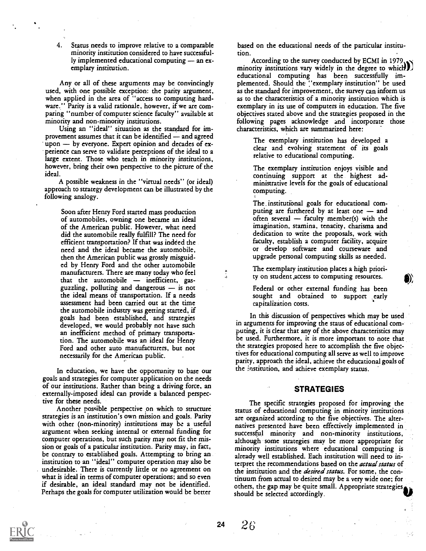Status needs to improve relative to a comparable minority institution considered to have successfully implemented educational computing  $-$  an exemplary institution.

Any or all of these arguments may be convincingly used, with one possible exception: the parity argument, when applied in the area of "access to computing hardware." Parity is a valid rationale, however, if we are comparing "number of computer science faculty" available at minority and non-minority institutions.

Using an "ideal" situation as the standard for improvement assumes that it can be identified - and agreed upon - by everyone. Expert opinion and decades of experience can serve to validate perceptions of the ideal to a large extent. Those who teach in minority institutions, however, bring their own perspective to the picture of the ideal.

A possible weakness in the "virtual needs" (or ideal) approach to strategy development can be illustrated by the following analogy.

Soon after Henry Ford started mass production of automobiles, owning one became an ideal of the American public. However, what need did the automobile really fulfill? The need for efficient transportation? If that was indeed the need and the ideal became the automobile, then the American public was grossly misguided by Henry Ford and the other automobile manufacturers. There are many today who feel that the automobile  $-$  inefficient, gasguzzling, polluting and dangerous  $-$  is not the ideal means of transportation. If a needs assessment had been carried out at the time the automobile industry was getting started, if goals had been established, and strategies developed, we would probably not have such an inefficient method of primary transportation. The automobile was an ideal for Henry Ford and other auto manufacturers, but not necessarily for the American public.

In education, we have the opportunity to base our goals and strategies for computer application on the needs of our institutions. Rather than being a driving force, an externally-imposed ideal can provide a balanced perspective for these needs.

Another poscible perspective on which to structure strategies is an institution's own mission and goals. Parity with other (non-minority) institutions may be a useful argument when seeking internal or external funding for computer operations, but such parity may not fit the mission or goals of a paticular institution. Parity may, in fact, be contrary to established goals. Attempting to bring an institution to an "ideal" computer operation may also be undesirable. There is currently little or no agreement on what is ideal in terms of computer operations; and so even if desirable, an ideal standard may not be identified. Perhaps the goals for computer utilization would be better

based on the educational needs of the particular institution.

According to the survey conducted by ECMI in 1979. minority institutions vary widely in the degree to which $J$ . educational computing has been successfully implemented. Should the "exemplary institution" be used as the standard for improvement, the survey can inform us as to the characteristics of a minority institution which is exemplary in its use of computers in education. The five objectives stated above and the strategies proposed in the following pages acknowledge and incorporate those characteristics, which are summarized here:

The exemplary institution has developed a clear and evolving statement of its goals relative to educational computing.

The exemplary institution enjoys visible and continuing support at the highest administrative levels for the goals of educational computing.

The . institutional goals for educational computing are furthered by at least one  $-$  and often several  $-$  faculty member(s) with the imagination, stamina, tenacity, charisma and dedication to write the proposals, work with faculty, establish a computer facility, acquire or develop software and courseware and upgrade personal computing skills as needed.

The exemplary institution places a high priority on student access to computing resources.

Federal or other external funding has been sought and obtained to support early capitalization costs.

In this discussion of perspectives which may be used in arguments for improving the staus of educational computing, it is clear that any of the above characteristics may be used. Furthermore, it is more important to note that the strategies proposed here to accomplish the five objectives for educational computing all serve as well to improve parity, approach the ideal, achieve the educational goals of the institution, and achieve exemplary status.

#### STRATEGIES

The specific strategies proposed for improving the status of educational computing in minority institutions are organized according to the five objectives. The alternatives presented have been effectively implemented in successful minority and non-minority institutions, although some strategies may be more appropriate for minority institutions where educational computing is already well established. Each institution will need to interpret the recommendations based on the *actual status* of the institution and the *desired status*. For some, the continuum from actual to desired may be a very wide one; for others, the gap may be quite small. Appropriate strategies should be selected accordingly.

24 26

ه<br>د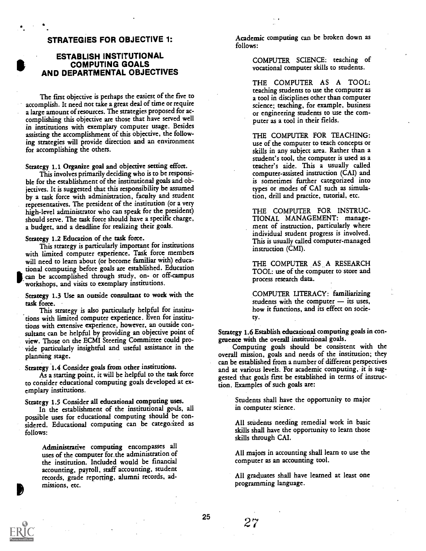## STRATEGIES FOR OBJECTIVE 1:

## ESTABLISH INSTITUTIONAL<br>COMPUTING GOALS<br>AND DEPARTMENTAL OBJECTIVES ESTABLISH INSTITUTIONAL COMPUTING GOALS

The first objective is perhaps the easiest of the five to accomplish. It need not take a great deal of time or require a large amount of resources. The strategies proposed for accomplishing this objective are those that have served well in institutions with exemplary computer usage. Besides assisting the accomplishment of this objective, the following strategies will provide direction and an environment for accomplishing the others.

Strategy 1.1 Organize goal and objective setting effort.

This involves primarily deciding who is to be responsible for the establishment of the institutional goals and objectives. It is suggested that this responsibility be assumed by a task force with administration, faculty and student representatives. The president of the institution (or a very high-level administrator who can speak for the president) should serve. The task force should have a specific charge, a budget, and a deadline for realizing their goals.

Strategy 1.2 Education of the task force.

This strategy is particularly important for institutions with limited computer experience. Task force members will need to learn about (or become familiar with) educational computing before goals are established. Education can be accomplished through study, on- or off-campus workshops, and visits to exemplary institutions.

Strategy 1.3 Use an outside consultant to work with the task force.

This strategy is also particularly helpful for institutions with limited computer experience. Even for institutions with extensive experience, however, an outside consultant can be helpful by providing an objective point of view. Those on the ECMI Steering Committee could provide particularly insightful and useful assistance in the planning stage.

Strategy 1.4 Consider goals from other institutions.

As a starting point, it will be helpful to the task force to consider educational computing goals developed, at exemplary institutions.

Strategy 1.5 Consider all educational computing uses.

In the establishment of the institutional goals, all possible uses for educational computing should be considered. Educational computing can be categorized as follows:

Administrative computing encompasses all uses of the computer for.the administration of the institution. Included would be financial accounting, payroll, staff accounting, student records, grade reporting, alumni records, admissions, etc.

Academic computing can be broken down as follows:

> COMPUTER SCIENCE: teaching of vocational computer skills to students.

THE COMPUTER AS A TOOL: teaching students to use the computer as a tool in disciplines other than computer science; teaching, for example, business or engineering students to use the computer as a tool in their fields.

THE COMPUTER FOR TEACHING: use of the computer to teach concepts or skills in any subject area. Rather than a student's tool, the computer is used as a teacher's aide. This a usually called computer-assisted instruction (CAI) and is sometimes further categorized into types or modes of CAI such as simulation, drill and practice, tutorial, etc.

THE COMPUTER FOR INSTRUC-TIONAL MANAGEMENT: management of instruction, particularly where individual student progress is involved. This is usually called computer-managed instruction (CMI).

THE COMPUTER AS A RESEARCH TOOL: use of the computer to store and process research data.

COMPUTER LITERACY: familiarizing students with the computer  $-$  its uses, how it functions, and its effect on socictv.

Strategy. 1.6 Establish educational computing goals in congruence with the overall institutional goals.

Computing goals should be consistent with the overall mission, goals and needs of the institution; they can be established from a number of different perspectives and at various levels. For academic computing, it is suggested that goals first be established in terms of instruction. Examples of such goals arc:

Students shall have the opportunity to major in computer science.

All students needing remedial work in basic skills shall have the opportunity to learn those skills through CAI.

All majors in accounting shall learn to use the computer as an accounting tool.

All graduates shall have learned at least one programming language.

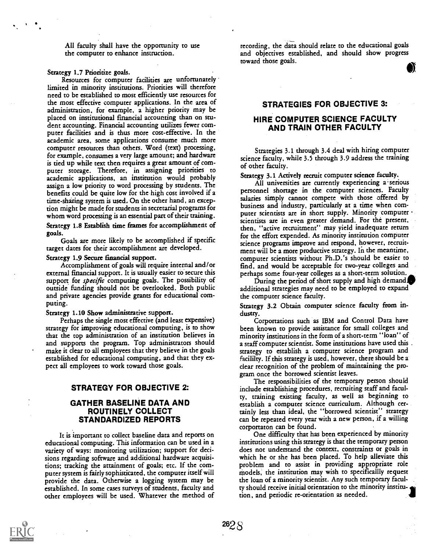All faculty shall have the opportunity to use the computer to enhance instruction.

#### Strategy 1.7 Prioritize goals.

Resources for computer facilities are unfortunately limited in minority institutions. Priorities will therefore need to be established to most efficiently use resources for the most effective computer applications. In the area of administration, for example, a higher priority may be placed on institutional financial accounting than on student accounting. Financial accounting utilizes fewer computer facilities and is thus more cost-effective. In the academic area, some applications consume much more computer resources than others. Word (text) processing, for example, consumes a very large amount; and hardware is tied up while text then requires a great amount of computer storage. Therefore, in assigning priorities to academic applications, an institution would probably assign a low priority to word processing by students. The benefits could be quite low for the high cost involved if a time-sharing system is used. On the other hand, an exception might be made for students in secretarial programs for whom word processing is an essential part of their training.

Strategy 1.8 Establish time frames for accomplishment of goals.

Goals are more likely to be accomplished if specific target dates for their accomplishment are developed.

Strategy 1.9 Secure financial support.

Accomplishment of goals will require internal and/or external financial support. It is usually easier to secure this support for *specific* computing goals. The possibility of outside funding should not be overlooked. Both public and private agencies provide grants for educational computing.

Strategy 1.10 Show administrative support.

Perhaps the single most effective (and least expensive) strategy for improving educational computing, is to show that the top administration of an institution believes in and supports the program. Top administrators should make it clear to all employees that they believe in the goals established for educational computing, and that they expect all employees to work toward those goals.

#### STRATEGY FOR OBJECTIVE 2:

### GATHER BASELINE DATA AND ROUTINELY COLLECT STANDARDIZED REPORTS

It is important to collect baseline data and reports on educational computing. This information can be used in a variety of ways: monitoring utilization; support for decisions regarding software and additional hardware acquisitions; tracking the attainment of goals; etc. If the computer system is fairly sophisticated, the computer itself will provide the data. Otherwise a logging system may be established. In some cases surveys of students, faculty and other employees will be used. Whatever the method of recording, the data should relate to the educational goals and objectives established, and should show progress toward those goals.

#### STRATEGIES FOR OBJECTIVE 3:

## HIRE COMPUTER SCIENCE FACULTY AND TRAIN OTHER FACULTY

Strategies 3.1 through 3.4 deal with hiring computer science faculty, while 3.5 through 3.9 address the training of other faculty.

Strategy 3.1 Actively recruit computer science faculty.

All universities are currently experiencing a serious personnel shortage in the computer sciences. Faculty salaries simply cannot compete with those offered by business and industry, particularly at a time when computer scientists are in short supply. Minority computer . scientists are in even greater demand. For the present, then, "active recruitment" may yield inadequate return for the effort expended. As minority institution computer science programs improve and respond, however, recruitment will be a more productive strategy. In the meantime, computer scientists without Ph.D.'s should be easier to find, and would be acceptable for two-year colleges and perhaps some four-year colleges as a short-term solution.

During the period of short supply and high demand. additional strategies may need to be employed to expand the computer science faculty.

Strategy 3.2 Obtain computer science faculty from industry.

Corportations such as IBM and Control Data have been known to provide assistance for small colleges and minority institutions in the form of a short-term "loan" of a staff computer scientist. Some institutions have used this . strategy to establish a computer science program and facililty. If this strategy is used, however, there should be a clear recognition of the problem of maintaining the program once the borrowed scientist leaves.

The responsibilities of the temporary person should include establishing procedures, recruiting staff and faculty, training existing faculty, as well as beginning to establish a computer science curriculum. Although certainly less than ideal, the "borrowed scientist" strategy can be repeated every year with a new person, if a willing corportaton can be found.

One difficulty that has been experienced by minority institutions using this strategy is that the temporary person does not understand the context, constraints or goals in which he or she has been placed. To help alleviate this problem and to assist in providing appropriate role models, the institution may wish to specificallly request the loan of a minority scientist. Any such temporary faculty should receive initial orientation to the minority institution, and periodic re-orientation as needed.

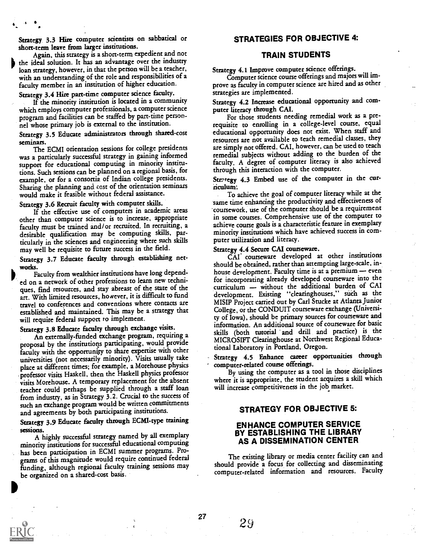Strategy. 3.3 Hire computer scientists on sabbatical or short-term leave from larger institutions.

.4

Again, this strategy is a short-term expedient and not the ideal solution. It has an advantage over the industry loan strategy, however, in that the person will be a teacher, with an understanding of the role and responsibilities of a faculty member in an institution of higher education.

Strategy 3.4 Hire pan-time computer science faculty.

If the minority institution is located in a community<br>h employs computer professionals, a computer science buter literacy through CAI. which employs computer professionals, a computer science program and facilities can be staffed by part-time personnel whose primary job is external to the institution.

Strategy 3.5 Educate administrators through shared-cost seminars.

The ECMI orientation sessions for college presidents was a particularly successful strategy in gaining informed support for educational computing in minority institutions. Such sessions can be planned on a regional basis, for example, or for a consortia of Indian college presidents. Sharing the planning and cost of the orientation seminars would make it feasible without federal assistance.

Strategy 3.6 Recruit faculty with computer skills.

If the effective use of computers in academic areas other than computer science is to increase, appropriate faculty must be trained and/or recruited. In recruiting, a desirable qualification may be computing skills, particularly in the sciences and engineering where such skills may well be requisite to future success in the field.

Strategy 3.7 Educate faculty through establishing networks.

Faculty from wealthier institutions have long depended on a network of other professions to learn new techniques, find resources, and stay abreast of the state of the art. With limited resources, however, it is difficult to fund travel to conferences and conventions where contacts are established and maintained. This may be a strategy that will require federal support to implement.

Strategy 3.8 Educate faculty through exchange visits.

An externally-funded exchange program, requiring a proposal by the institutions participating, would provide faculty with the opportunity to share expertise with other universities (not necessarily minority). Visits usually take place at different times; for example, a Morehouse physics professor visits Haskell, then the Haskell physics professor visits Morehouse. A temporary replacement for the absent teacher could perhaps be supplied through a staff loan from industry, as in Strategy 3.2. Crucial to the success of such an exchange program would be written commitments and agreements by both participating institutions.

Strategy 3.9 Educate faculty through ECM/-type training sessions.

A highly successful strategy named by all exemplary minority institutions for successful educational computing has been participation in ECMI summer programs. Programs of this magnitude would require continued federal funding, although regional faculty training sessions may be organized on a shared-cost basis.

## STRATEGIES FOR OBJECTIVE 4:

#### TRAIN STUDENTS

Strategy 4.1 Improve computer science offerings.

Computer science course offerings and majors will improve as faculty in computer science are hired and as other strategies are implemented.

Strategy 4.2 Increase educational opportunity and com-

For those students needing remedial work as a prerequisite to enrolling in a college-level course, equal educational opportunity does not exist. When staff and resources are not available to teach remedial classes, they are simply not offered. CAI, however, can be used to teach remedial subjects without adding to the burden of the faculty. A degree of computer literacy is also achieved through this interaction with the computer.

Strategy 4.3 Embed use of the computer in the curriculum:

To achieve the goal of computer literacy while at the same time enhancing the productivity and effectiveness of -coursework, use of the computer should be a requirement in some courses. Comprehensive use of the computer to achieve course goals is a characteristic feature in exemplary minority institutions which have achieved success in computer utilization and literacy.

### Strategy 4.4 Secure CAI courseware.

CAI' courseware developed at other institutions should be obtained, rather than attempting large-scale, inhouse development. Faculty time is at a premium - even for incorporating already developed courseware into the curriculum - without the additional burden of CAI development. Existing "clearinghouses," such as the MISIP Project carried out by Carl Stucke at Atlanta junior College, or the CONDUIT courseware exchange (University of Iowa), should be primary sources for courseware and information. An additional source of courseware for basic skills (both tutorial and drill and practice) is the MICROSIFT Clearinghouse at Northwest Regional Educational Laboratory in Portland, Oregon.

Strategy 4.5 Enhance career opportunities through computer-related course offerings.

By using the computer as a tool in those disciplines where it is appropriate, the student acquires a skill which will increase competitiveness in the job market.

#### STRATEGY FOR OBJECTIVE 5:

#### ENHANCE COMPUTER SERVICE BY ESTABLISHING THE LIBRARY AS A DISSEMINATION CENTER

The existing library or media center facility can and should provide a focus for collecting and disseminating computer-related information and resources. Faculty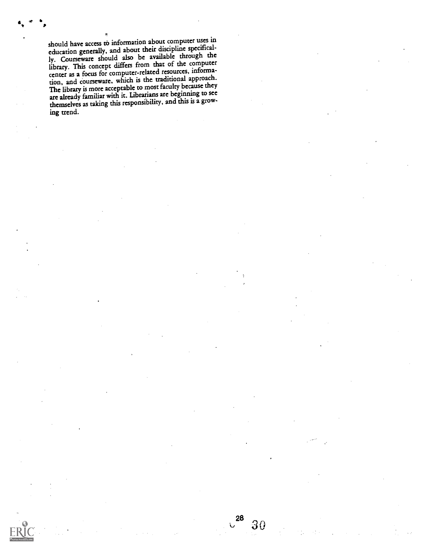should have access to information about computer uses in education generally, and about their discipline specifically. Courseware should also be available through the library. This concept differs from that of the computer center as a focus for computer-related resources, information, and courseware, which is the traditional approach. The library is more acceptable to most faculty because they are already familiar with it. Librarians are beginning to see themselves as taking this responsibility, and this is a growing trend.

28

Ü